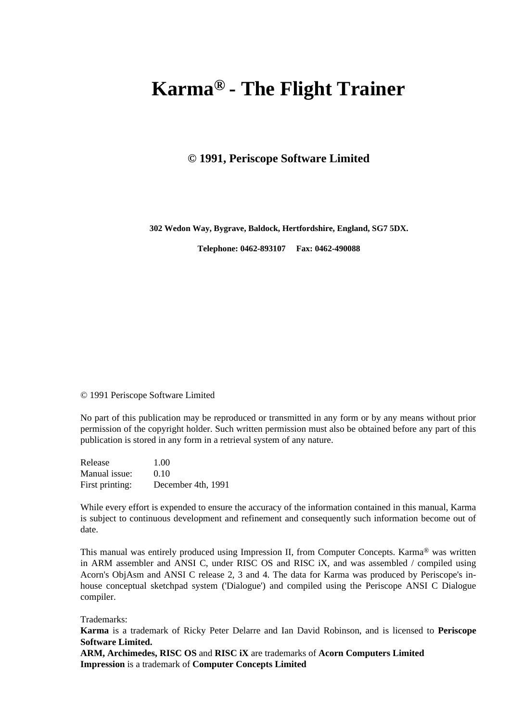# **Karma® - The Flight Trainer**

#### **© 1991, Periscope Software Limited**

**302 Wedon Way, Bygrave, Baldock, Hertfordshire, England, SG7 5DX.**

**Telephone: 0462-893107 Fax: 0462-490088**

© 1991 Periscope Software Limited

No part of this publication may be reproduced or transmitted in any form or by any means without prior permission of the copyright holder. Such written permission must also be obtained before any part of this publication is stored in any form in a retrieval system of any nature.

Release 1.00 Manual issue: 0.10 First printing: December 4th, 1991

While every effort is expended to ensure the accuracy of the information contained in this manual, Karma is subject to continuous development and refinement and consequently such information become out of date.

This manual was entirely produced using Impression II, from Computer Concepts. Karma® was written in ARM assembler and ANSI C, under RISC OS and RISC iX, and was assembled / compiled using Acorn's ObjAsm and ANSI C release 2, 3 and 4. The data for Karma was produced by Periscope's inhouse conceptual sketchpad system ('Dialogue') and compiled using the Periscope ANSI C Dialogue compiler.

Trademarks:

**Karma** is a trademark of Ricky Peter Delarre and Ian David Robinson, and is licensed to **Periscope Software Limited.**

**ARM, Archimedes, RISC OS** and **RISC iX** are trademarks of **Acorn Computers Limited Impression** is a trademark of **Computer Concepts Limited**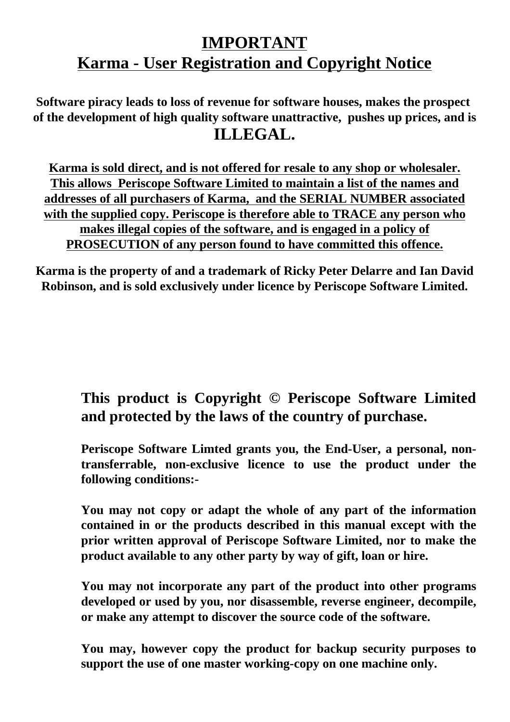# **IMPORTANT Karma - User Registration and Copyright Notice**

 **Software piracy leads to loss of revenue for software houses, makes the prospect of the development of high quality software unattractive, pushes up prices, and is ILLEGAL.**

**Karma is sold direct, and is not offered for resale to any shop or wholesaler. This allows Periscope Software Limited to maintain a list of the names and addresses of all purchasers of Karma, and the SERIAL NUMBER associated with the supplied copy. Periscope is therefore able to TRACE any person who makes illegal copies of the software, and is engaged in a policy of PROSECUTION of any person found to have committed this offence.**

**Karma is the property of and a trademark of Ricky Peter Delarre and Ian David Robinson, and is sold exclusively under licence by Periscope Software Limited.**

# **This product is Copyright © Periscope Software Limited and protected by the laws of the country of purchase.**

**Periscope Software Limted grants you, the End-User, a personal, nontransferrable, non-exclusive licence to use the product under the following conditions:-**

**You may not copy or adapt the whole of any part of the information contained in or the products described in this manual except with the prior written approval of Periscope Software Limited, nor to make the product available to any other party by way of gift, loan or hire.**

**You may not incorporate any part of the product into other programs developed or used by you, nor disassemble, reverse engineer, decompile, or make any attempt to discover the source code of the software.** 

**You may, however copy the product for backup security purposes to support the use of one master working-copy on one machine only.**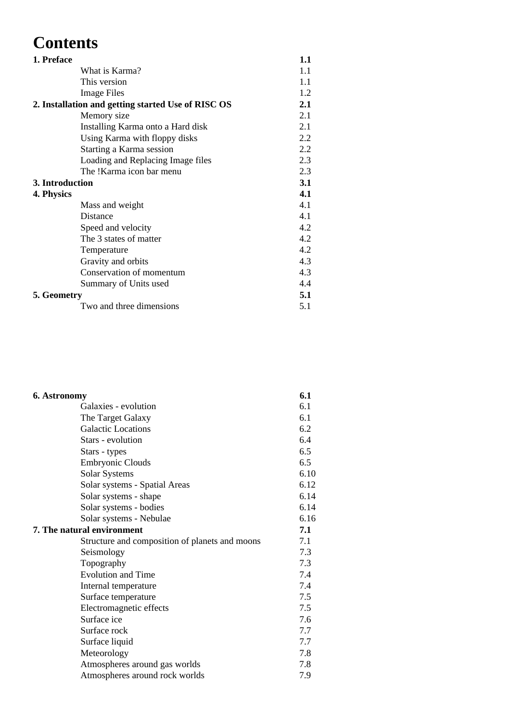# **Contents**

| 1. Preface      |                                                    | 1.1 |
|-----------------|----------------------------------------------------|-----|
|                 | What is Karma?                                     | 1.1 |
|                 | This version                                       | 1.1 |
|                 | <b>Image Files</b>                                 | 1.2 |
|                 | 2. Installation and getting started Use of RISC OS | 2.1 |
|                 | Memory size                                        | 2.1 |
|                 | Installing Karma onto a Hard disk                  | 2.1 |
|                 | Using Karma with floppy disks                      | 2.2 |
|                 | Starting a Karma session                           | 2.2 |
|                 | Loading and Replacing Image files                  | 2.3 |
|                 | The !Karma icon bar menu                           | 2.3 |
| 3. Introduction |                                                    | 3.1 |
| 4. Physics      |                                                    | 4.1 |
|                 | Mass and weight                                    | 4.1 |
|                 | Distance                                           | 4.1 |
|                 | Speed and velocity                                 | 4.2 |
|                 | The 3 states of matter                             | 4.2 |
|                 | Temperature                                        | 4.2 |
|                 | Gravity and orbits                                 | 4.3 |
|                 | Conservation of momentum                           | 4.3 |
|                 | Summary of Units used                              | 4.4 |
| 5. Geometry     |                                                    | 5.1 |
|                 | Two and three dimensions                           | 5.1 |

| 6. Astronomy                                   | 6.1  |
|------------------------------------------------|------|
| Galaxies - evolution                           | 6.1  |
| The Target Galaxy                              | 6.1  |
| <b>Galactic Locations</b>                      | 6.2  |
| Stars - evolution                              | 6.4  |
| Stars - types                                  | 6.5  |
| <b>Embryonic Clouds</b>                        | 6.5  |
| Solar Systems                                  | 6.10 |
| Solar systems - Spatial Areas                  | 6.12 |
| Solar systems - shape                          | 6.14 |
| Solar systems - bodies                         | 6.14 |
| Solar systems - Nebulae                        | 6.16 |
| 7. The natural environment                     | 7.1  |
| Structure and composition of planets and moons | 7.1  |
| Seismology                                     | 7.3  |
| Topography                                     | 7.3  |
| <b>Evolution and Time</b>                      | 7.4  |
| Internal temperature                           | 7.4  |
| Surface temperature                            | 7.5  |
| Electromagnetic effects                        | 7.5  |
| Surface ice                                    | 7.6  |
| Surface rock                                   | 7.7  |
| Surface liquid                                 | 7.7  |
| Meteorology                                    | 7.8  |
| Atmospheres around gas worlds                  | 7.8  |
| Atmospheres around rock worlds                 | 7.9  |
|                                                |      |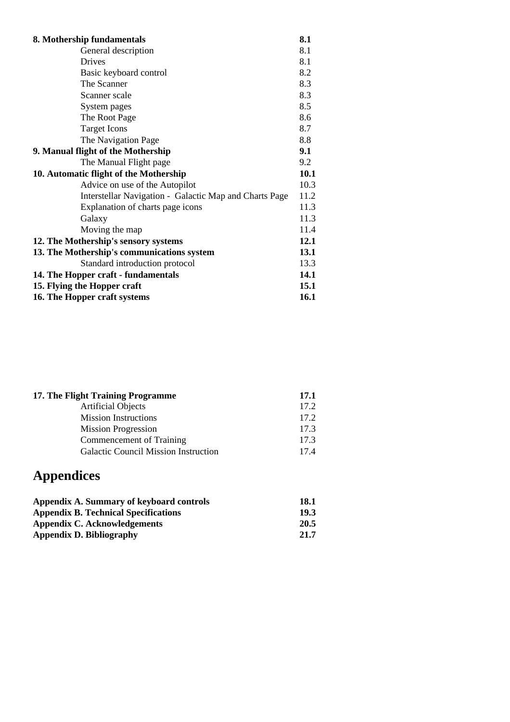| 8.1<br>General description<br><b>Drives</b><br>8.1<br>8.2<br>Basic keyboard control<br>8.3<br>The Scanner<br>8.3<br>Scanner scale<br>8.5<br>System pages<br>8.6<br>The Root Page<br>8.7<br><b>Target Icons</b><br>The Navigation Page<br>8.8<br>9.1<br>9. Manual flight of the Mothership<br>9.2<br>The Manual Flight page<br>10. Automatic flight of the Mothership<br>Advice on use of the Autopilot<br>Interstellar Navigation - Galactic Map and Charts Page<br>Explanation of charts page icons<br>Galaxy<br>Moving the map<br>12. The Mothership's sensory systems<br>13. The Mothership's communications system<br>Standard introduction protocol<br>14.1<br>14. The Hopper craft - fundamentals<br>15.1<br>15. Flying the Hopper craft<br>16. The Hopper craft systems | 8. Mothership fundamentals | 8.1  |
|--------------------------------------------------------------------------------------------------------------------------------------------------------------------------------------------------------------------------------------------------------------------------------------------------------------------------------------------------------------------------------------------------------------------------------------------------------------------------------------------------------------------------------------------------------------------------------------------------------------------------------------------------------------------------------------------------------------------------------------------------------------------------------|----------------------------|------|
|                                                                                                                                                                                                                                                                                                                                                                                                                                                                                                                                                                                                                                                                                                                                                                                |                            |      |
|                                                                                                                                                                                                                                                                                                                                                                                                                                                                                                                                                                                                                                                                                                                                                                                |                            |      |
|                                                                                                                                                                                                                                                                                                                                                                                                                                                                                                                                                                                                                                                                                                                                                                                |                            |      |
|                                                                                                                                                                                                                                                                                                                                                                                                                                                                                                                                                                                                                                                                                                                                                                                |                            |      |
|                                                                                                                                                                                                                                                                                                                                                                                                                                                                                                                                                                                                                                                                                                                                                                                |                            |      |
|                                                                                                                                                                                                                                                                                                                                                                                                                                                                                                                                                                                                                                                                                                                                                                                |                            |      |
|                                                                                                                                                                                                                                                                                                                                                                                                                                                                                                                                                                                                                                                                                                                                                                                |                            |      |
|                                                                                                                                                                                                                                                                                                                                                                                                                                                                                                                                                                                                                                                                                                                                                                                |                            |      |
|                                                                                                                                                                                                                                                                                                                                                                                                                                                                                                                                                                                                                                                                                                                                                                                |                            |      |
|                                                                                                                                                                                                                                                                                                                                                                                                                                                                                                                                                                                                                                                                                                                                                                                |                            |      |
|                                                                                                                                                                                                                                                                                                                                                                                                                                                                                                                                                                                                                                                                                                                                                                                |                            |      |
|                                                                                                                                                                                                                                                                                                                                                                                                                                                                                                                                                                                                                                                                                                                                                                                |                            | 10.1 |
|                                                                                                                                                                                                                                                                                                                                                                                                                                                                                                                                                                                                                                                                                                                                                                                |                            | 10.3 |
|                                                                                                                                                                                                                                                                                                                                                                                                                                                                                                                                                                                                                                                                                                                                                                                |                            | 11.2 |
|                                                                                                                                                                                                                                                                                                                                                                                                                                                                                                                                                                                                                                                                                                                                                                                |                            | 11.3 |
|                                                                                                                                                                                                                                                                                                                                                                                                                                                                                                                                                                                                                                                                                                                                                                                |                            | 11.3 |
|                                                                                                                                                                                                                                                                                                                                                                                                                                                                                                                                                                                                                                                                                                                                                                                |                            | 11.4 |
|                                                                                                                                                                                                                                                                                                                                                                                                                                                                                                                                                                                                                                                                                                                                                                                |                            | 12.1 |
|                                                                                                                                                                                                                                                                                                                                                                                                                                                                                                                                                                                                                                                                                                                                                                                |                            | 13.1 |
|                                                                                                                                                                                                                                                                                                                                                                                                                                                                                                                                                                                                                                                                                                                                                                                |                            | 13.3 |
|                                                                                                                                                                                                                                                                                                                                                                                                                                                                                                                                                                                                                                                                                                                                                                                |                            |      |
|                                                                                                                                                                                                                                                                                                                                                                                                                                                                                                                                                                                                                                                                                                                                                                                |                            |      |
|                                                                                                                                                                                                                                                                                                                                                                                                                                                                                                                                                                                                                                                                                                                                                                                | 16.1                       |      |

| 17.1 |
|------|
| 17.2 |
| 17.2 |
| 17.3 |
| 17.3 |
| 174  |
|      |

# **Appendices**

| Appendix A. Summary of keyboard controls    | 18.1        |
|---------------------------------------------|-------------|
| <b>Appendix B. Technical Specifications</b> | <b>19.3</b> |
| Appendix C. Acknowledgements                | 20.5        |
| Appendix D. Bibliography                    | 21.7        |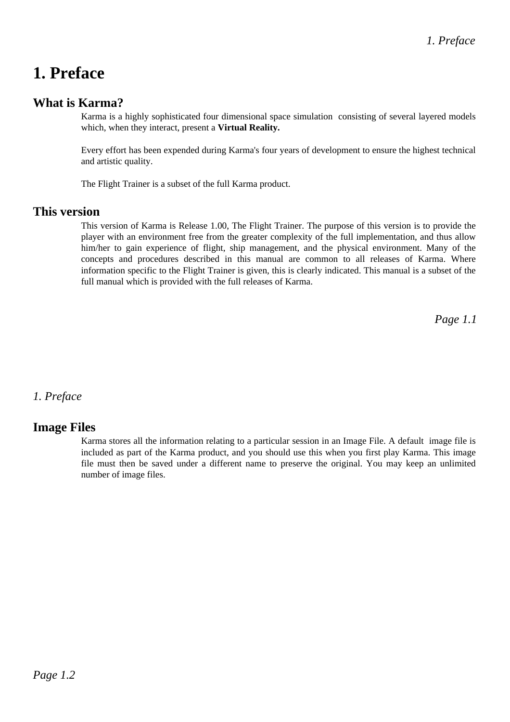# **1. Preface**

## **What is Karma?**

Karma is a highly sophisticated four dimensional space simulation consisting of several layered models which, when they interact, present a **Virtual Reality.**

Every effort has been expended during Karma's four years of development to ensure the highest technical and artistic quality.

The Flight Trainer is a subset of the full Karma product.

### **This version**

This version of Karma is Release 1.00, The Flight Trainer. The purpose of this version is to provide the player with an environment free from the greater complexity of the full implementation, and thus allow him/her to gain experience of flight, ship management, and the physical environment. Many of the concepts and procedures described in this manual are common to all releases of Karma. Where information specific to the Flight Trainer is given, this is clearly indicated. This manual is a subset of the full manual which is provided with the full releases of Karma.

*Page 1.1*

### *1. Preface*

### **Image Files**

Karma stores all the information relating to a particular session in an Image File. A default image file is included as part of the Karma product, and you should use this when you first play Karma. This image file must then be saved under a different name to preserve the original. You may keep an unlimited number of image files.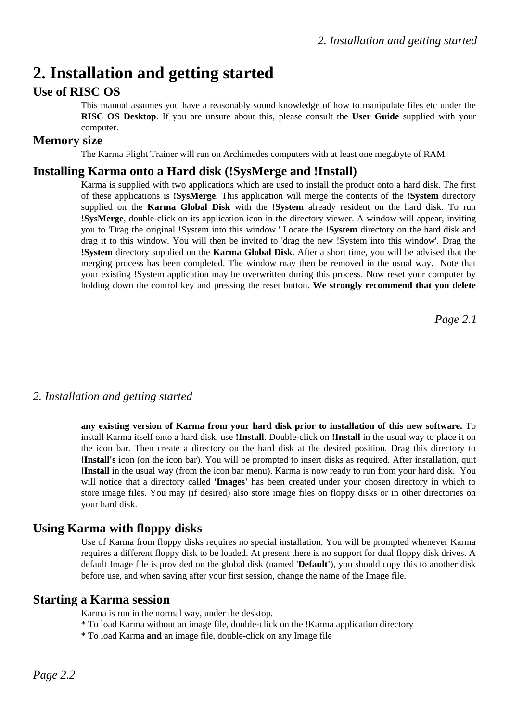# **2. Installation and getting started**

## **Use of RISC OS**

This manual assumes you have a reasonably sound knowledge of how to manipulate files etc under the **RISC OS Desktop**. If you are unsure about this, please consult the **User Guide** supplied with your computer.

## **Memory size**

The Karma Flight Trainer will run on Archimedes computers with at least one megabyte of RAM.

## **Installing Karma onto a Hard disk (!SysMerge and !Install)**

Karma is supplied with two applications which are used to install the product onto a hard disk. The first of these applications is **!SysMerge**. This application will merge the contents of the **!System** directory supplied on the **Karma Global Disk** with the **!System** already resident on the hard disk. To run **!SysMerge**, double-click on its application icon in the directory viewer. A window will appear, inviting you to 'Drag the original !System into this window.' Locate the **!System** directory on the hard disk and drag it to this window. You will then be invited to 'drag the new !System into this window'. Drag the **!System** directory supplied on the **Karma Global Disk**. After a short time, you will be advised that the merging process has been completed. The window may then be removed in the usual way. Note that your existing !System application may be overwritten during this process. Now reset your computer by holding down the control key and pressing the reset button. **We strongly recommend that you delete**

*Page 2.1*

### *2. Installation and getting started*

**any existing version of Karma from your hard disk prior to installation of this new software.** To install Karma itself onto a hard disk, use **!Install**. Double-click on **!Install** in the usual way to place it on the icon bar. Then create a directory on the hard disk at the desired position. Drag this directory to **!Install's** icon (on the icon bar). You will be prompted to insert disks as required. After installation, quit **!Install** in the usual way (from the icon bar menu). Karma is now ready to run from your hard disk. You will notice that a directory called **'Images'** has been created under your chosen directory in which to store image files. You may (if desired) also store image files on floppy disks or in other directories on your hard disk.

## **Using Karma with floppy disks**

Use of Karma from floppy disks requires no special installation. You will be prompted whenever Karma requires a different floppy disk to be loaded. At present there is no support for dual floppy disk drives. A default Image file is provided on the global disk (named '**Default'**), you should copy this to another disk before use, and when saving after your first session, change the name of the Image file.

### **Starting a Karma session**

Karma is run in the normal way, under the desktop.

- \* To load Karma without an image file, double-click on the !Karma application directory
- \* To load Karma **and** an image file, double-click on any Image file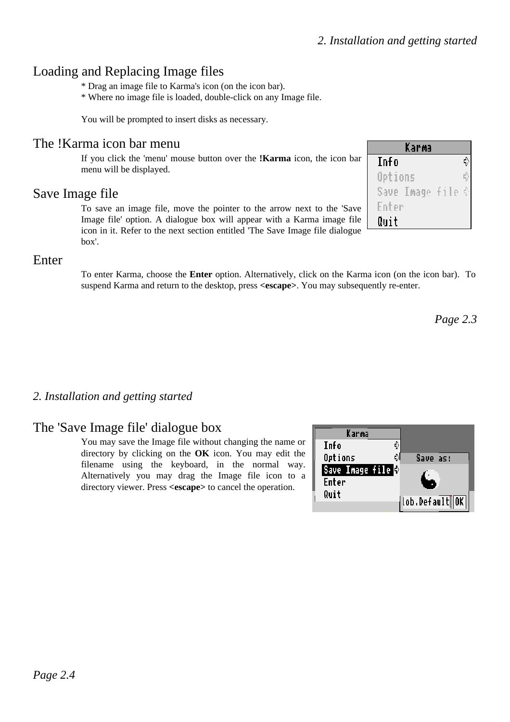# Loading and Replacing Image files

\* Drag an image file to Karma's icon (on the icon bar).

\* Where no image file is loaded, double-click on any Image file.

You will be prompted to insert disks as necessary.

## The !Karma icon bar menu

If you click the 'menu' mouse button over the **!Karma** icon, the icon bar menu will be displayed.

## Save Image file

To save an image file, move the pointer to the arrow next to the 'Save Image file' option. A dialogue box will appear with a Karma image file icon in it. Refer to the next section entitled 'The Save Image file dialogue box'.

## Enter

To enter Karma, choose the **Enter** option. Alternatively, click on the Karma icon (on the icon bar). To suspend Karma and return to the desktop, press **<escape>**. You may subsequently re-enter.

*Page 2.3*

## *2. Installation and getting started*

## The 'Save Image file' dialogue box

You may save the Image file without changing the name or directory by clicking on the **OK** icon. You may edit the filename using the keyboard, in the normal way. Alternatively you may drag the Image file icon to a directory viewer. Press **<escape>** to cancel the operation.

| Karma                          |               |
|--------------------------------|---------------|
| Info                           |               |
| Options                        | Save as:      |
| Save Image file <mark>⊕</mark> |               |
| Enter                          |               |
| Quit                           | ob.Default∭OK |
|                                |               |

| Karma                     |  |
|---------------------------|--|
| Info                      |  |
| Options                   |  |
| Save Image file $\varphi$ |  |
| Enter                     |  |
| Quit                      |  |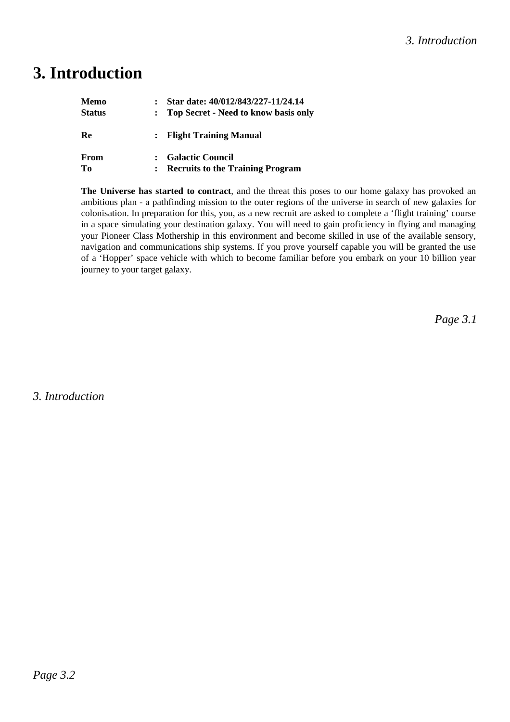# **3. Introduction**

| Memo          | Star date: 40/012/843/227-11/24.14      |
|---------------|-----------------------------------------|
| <b>Status</b> | : Top Secret - Need to know basis only  |
| Re            | : Flight Training Manual                |
| From          | : Galactic Council                      |
| Tо            | <b>Recruits to the Training Program</b> |

**The Universe has started to contract**, and the threat this poses to our home galaxy has provoked an ambitious plan - a pathfinding mission to the outer regions of the universe in search of new galaxies for colonisation. In preparation for this, you, as a new recruit are asked to complete a 'flight training' course in a space simulating your destination galaxy. You will need to gain proficiency in flying and managing your Pioneer Class Mothership in this environment and become skilled in use of the available sensory, navigation and communications ship systems. If you prove yourself capable you will be granted the use of a 'Hopper' space vehicle with which to become familiar before you embark on your 10 billion year journey to your target galaxy.

*Page 3.1*

*3. Introduction*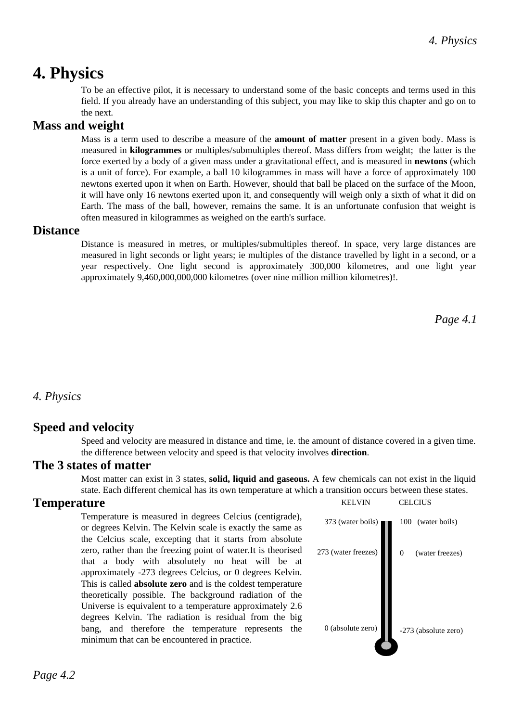# **4. Physics**

To be an effective pilot, it is necessary to understand some of the basic concepts and terms used in this field. If you already have an understanding of this subject, you may like to skip this chapter and go on to the next.

## **Mass and weight**

Mass is a term used to describe a measure of the **amount of matter** present in a given body. Mass is measured in **kilogrammes** or multiples/submultiples thereof. Mass differs from weight; the latter is the force exerted by a body of a given mass under a gravitational effect, and is measured in **newtons** (which is a unit of force). For example, a ball 10 kilogrammes in mass will have a force of approximately 100 newtons exerted upon it when on Earth. However, should that ball be placed on the surface of the Moon, it will have only 16 newtons exerted upon it, and consequently will weigh only a sixth of what it did on Earth. The mass of the ball, however, remains the same. It is an unfortunate confusion that weight is often measured in kilogrammes as weighed on the earth's surface.

## **Distance**

Distance is measured in metres, or multiples/submultiples thereof. In space, very large distances are measured in light seconds or light years; ie multiples of the distance travelled by light in a second, or a year respectively. One light second is approximately 300,000 kilometres, and one light year approximately 9,460,000,000,000 kilometres (over nine million million kilometres)!.

*Page 4.1*

## *4. Physics*

## **Speed and velocity**

Speed and velocity are measured in distance and time, ie. the amount of distance covered in a given time. the difference between velocity and speed is that velocity involves **direction**.

### **The 3 states of matter**

Most matter can exist in 3 states, **solid, liquid and gaseous.** A few chemicals can not exist in the liquid state. Each different chemical has its own temperature at which a transition occurs between these states.

## **Temperature**

Temperature is measured in degrees Celcius (centigrade), or degrees Kelvin. The Kelvin scale is exactly the same as the Celcius scale, excepting that it starts from absolute zero, rather than the freezing point of water.It is theorised that a body with absolutely no heat will be at approximately -273 degrees Celcius, or 0 degrees Kelvin. This is called **absolute zero** and is the coldest temperature theoretically possible. The background radiation of the Universe is equivalent to a temperature approximately 2.6 degrees Kelvin. The radiation is residual from the big bang, and therefore the temperature represents the minimum that can be encountered in practice.

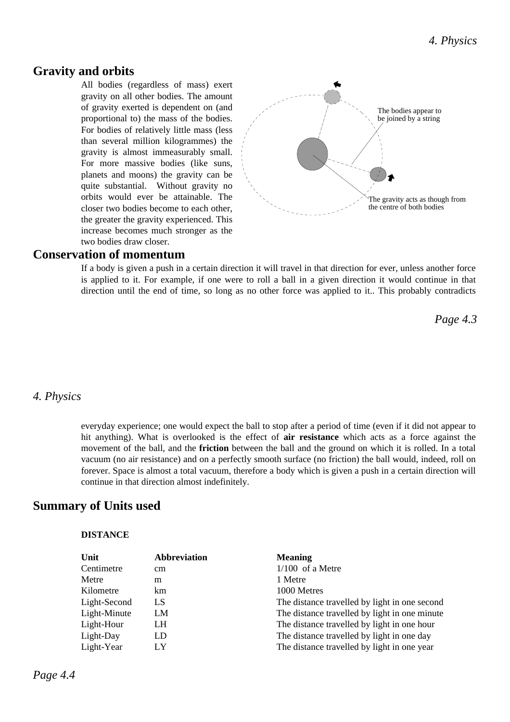### **Gravity and orbits**

All bodies (regardless of mass) exert gravity on all other bodies. The amount of gravity exerted is dependent on (and proportional to) the mass of the bodies. For bodies of relatively little mass (less than several million kilogrammes) the gravity is almost immeasurably small. For more massive bodies (like suns, planets and moons) the gravity can be quite substantial. Without gravity no orbits would ever be attainable. The closer two bodies become to each other, the greater the gravity experienced. This increase becomes much stronger as the two bodies draw closer.



#### **Conservation of momentum**

If a body is given a push in a certain direction it will travel in that direction for ever, unless another force is applied to it. For example, if one were to roll a ball in a given direction it would continue in that direction until the end of time, so long as no other force was applied to it.. This probably contradicts

*Page 4.3*

#### *4. Physics*

everyday experience; one would expect the ball to stop after a period of time (even if it did not appear to hit anything). What is overlooked is the effect of **air resistance** which acts as a force against the movement of the ball, and the **friction** between the ball and the ground on which it is rolled. In a total vacuum (no air resistance) and on a perfectly smooth surface (no friction) the ball would, indeed, roll on forever. Space is almost a total vacuum, therefore a body which is given a push in a certain direction will continue in that direction almost indefinitely.

### **Summary of Units used**

#### **DISTANCE**

| Unit         | <b>Abbreviation</b> | <b>Meaning</b>                                |
|--------------|---------------------|-----------------------------------------------|
| Centimetre   | cm                  | $1/100$ of a Metre                            |
| Metre        | m                   | 1 Metre                                       |
| Kilometre    | km                  | 1000 Metres                                   |
| Light-Second | LS                  | The distance travelled by light in one second |
| Light-Minute | LM                  | The distance travelled by light in one minute |
| Light-Hour   | LH                  | The distance travelled by light in one hour   |
| Light-Day    | LD                  | The distance travelled by light in one day    |
| Light-Year   | LY                  | The distance travelled by light in one year   |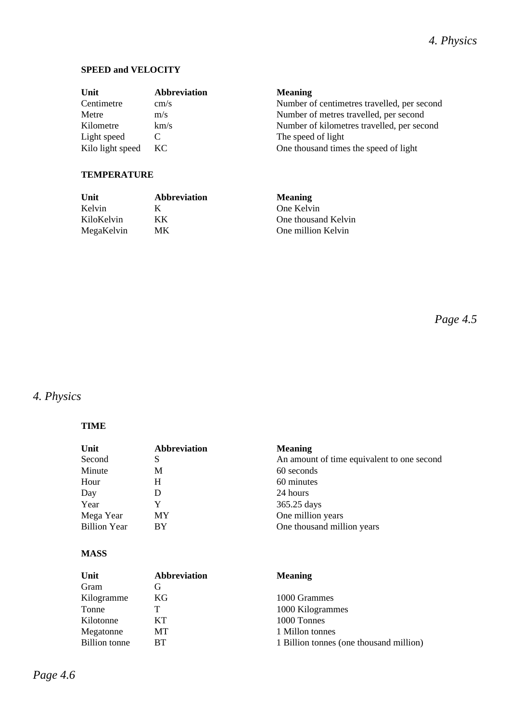### **SPEED and VELOCITY**

| Unit                            | <b>Abbreviation</b> | <b>Meaning</b>                                              |
|---------------------------------|---------------------|-------------------------------------------------------------|
| Centimetre                      | cm/s                | Number of centimetres travelled, per second                 |
| Metre                           | m/s                 | Number of metres travelled, per second                      |
| Kilometre                       | km/s                | Number of kilometres travelled, per second                  |
| Light speed<br>Kilo light speed | KC.                 | The speed of light<br>One thousand times the speed of light |

#### **TEMPERATURE**

| Unit       | <b>Abbreviation</b> | <b>Meaning</b>      |
|------------|---------------------|---------------------|
| Kelvin     |                     | One Kelvin          |
| KiloKelvin | KK.                 | One thousand Kelvin |
| MegaKelvin | MК                  | One million Kelvin  |

*Page 4.5*

# *4. Physics*

#### **TIME**

| Unit                | <b>Abbreviation</b> | <b>Meaning</b>                             |
|---------------------|---------------------|--------------------------------------------|
| Second              | S                   | An amount of time equivalent to one second |
| Minute              | М                   | 60 seconds                                 |
| Hour                | Н                   | 60 minutes                                 |
| Day                 | I)                  | 24 hours                                   |
| Year                | Y                   | 365.25 days                                |
| Mega Year           | MY                  | One million years                          |
| <b>Billion Year</b> | BY                  | One thousand million years                 |

#### **MASS**

| Unit                 | <b>Abbreviation</b> | <b>Meaning</b>                          |
|----------------------|---------------------|-----------------------------------------|
| Gram                 | G                   |                                         |
| Kilogramme           | KG.                 | 1000 Grammes                            |
| Tonne                |                     | 1000 Kilogrammes                        |
| Kilotonne            | KT.                 | 1000 Tonnes                             |
| Megatonne            | MТ                  | 1 Millon tonnes                         |
| <b>Billion</b> tonne | RТ                  | 1 Billion tonnes (one thousand million) |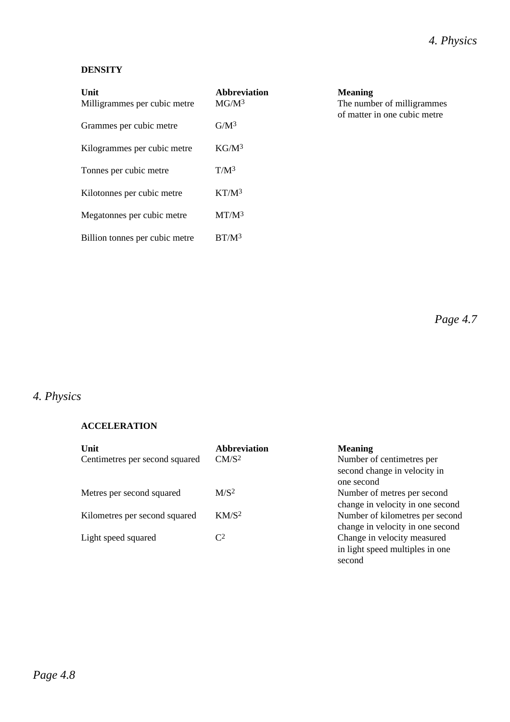### **DENSITY**

| Unit<br>Milligrammes per cubic metre | <b>Abbreviation</b><br>$MG/M^3$ | <b>Meaning</b><br>The number of milligrammes<br>of matter in one cubic metre |
|--------------------------------------|---------------------------------|------------------------------------------------------------------------------|
| Grammes per cubic metre              | $G/M^3$                         |                                                                              |
| Kilogrammes per cubic metre          | KG/M <sup>3</sup>               |                                                                              |
| Tonnes per cubic metre               | $T/M^3$                         |                                                                              |
| Kilotonnes per cubic metre           | K T/M <sup>3</sup>              |                                                                              |
| Megatonnes per cubic metre           | $MT/M^3$                        |                                                                              |

*Page 4.7*

# *4. Physics*

#### **ACCELERATION**

Billion tonnes per cubic metre BT/M<sup>3</sup>

| Unit                           | <b>Abbreviation</b>     | <b>Meaning</b>                   |
|--------------------------------|-------------------------|----------------------------------|
| Centimetres per second squared | CM/S <sup>2</sup>       | Number of centimetres per        |
|                                |                         | second change in velocity in     |
|                                |                         | one second                       |
| Metres per second squared      | M/S <sup>2</sup>        | Number of metres per second      |
|                                |                         | change in velocity in one second |
| Kilometres per second squared  | KM/S <sup>2</sup>       | Number of kilometres per second  |
|                                |                         | change in velocity in one second |
| Light speed squared            | $\mathsf{C}^\mathsf{2}$ | Change in velocity measured      |
|                                |                         | in light speed multiples in one  |
|                                |                         | second                           |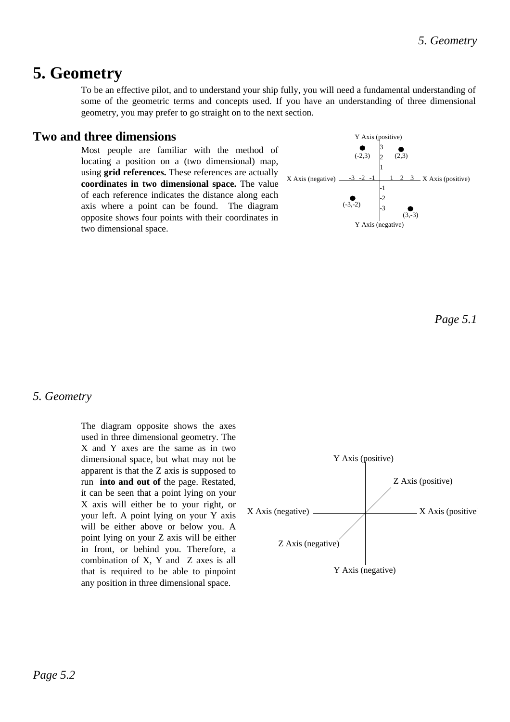# **5. Geometry**

To be an effective pilot, and to understand your ship fully, you will need a fundamental understanding of some of the geometric terms and concepts used. If you have an understanding of three dimensional geometry, you may prefer to go straight on to the next section.

### **Two and three dimensions**

Most people are familiar with the method of locating a position on a (two dimensional) map, using **grid references.** These references are actually **coordinates in two dimensional space.** The value of each reference indicates the distance along each axis where a point can be found. The diagram opposite shows four points with their coordinates in two dimensional space.



*Page 5.1*

### *5. Geometry*

The diagram opposite shows the axes used in three dimensional geometry. The X and Y axes are the same as in two dimensional space, but what may not be apparent is that the Z axis is supposed to run **into and out of** the page. Restated, it can be seen that a point lying on your X axis will either be to your right, or your left. A point lying on your Y axis will be either above or below you. A point lying on your Z axis will be either in front, or behind you. Therefore, a combination of X, Y and Z axes is all that is required to be able to pinpoint any position in three dimensional space.

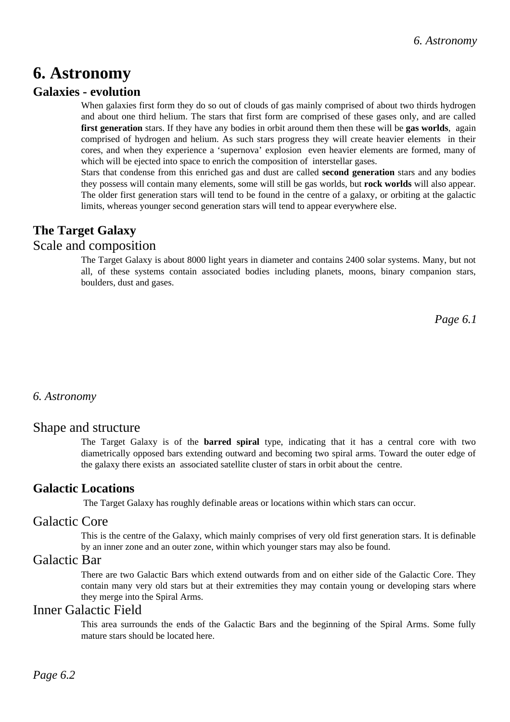# **6. Astronomy**

## **Galaxies - evolution**

When galaxies first form they do so out of clouds of gas mainly comprised of about two thirds hydrogen and about one third helium. The stars that first form are comprised of these gases only, and are called **first generation** stars. If they have any bodies in orbit around them then these will be **gas worlds**, again comprised of hydrogen and helium. As such stars progress they will create heavier elements in their cores, and when they experience a 'supernova' explosion even heavier elements are formed, many of which will be ejected into space to enrich the composition of interstellar gases.

Stars that condense from this enriched gas and dust are called **second generation** stars and any bodies they possess will contain many elements, some will still be gas worlds, but **rock worlds** will also appear. The older first generation stars will tend to be found in the centre of a galaxy, or orbiting at the galactic limits, whereas younger second generation stars will tend to appear everywhere else.

# **The Target Galaxy**

## Scale and composition

The Target Galaxy is about 8000 light years in diameter and contains 2400 solar systems. Many, but not all, of these systems contain associated bodies including planets, moons, binary companion stars, boulders, dust and gases.

*Page 6.1*

### *6. Astronomy*

### Shape and structure

The Target Galaxy is of the **barred spiral** type, indicating that it has a central core with two diametrically opposed bars extending outward and becoming two spiral arms. Toward the outer edge of the galaxy there exists an associated satellite cluster of stars in orbit about the centre.

## **Galactic Locations**

The Target Galaxy has roughly definable areas or locations within which stars can occur.

### Galactic Core

This is the centre of the Galaxy, which mainly comprises of very old first generation stars. It is definable by an inner zone and an outer zone, within which younger stars may also be found.

## Galactic Bar

There are two Galactic Bars which extend outwards from and on either side of the Galactic Core. They contain many very old stars but at their extremities they may contain young or developing stars where they merge into the Spiral Arms.

### Inner Galactic Field

This area surrounds the ends of the Galactic Bars and the beginning of the Spiral Arms. Some fully mature stars should be located here.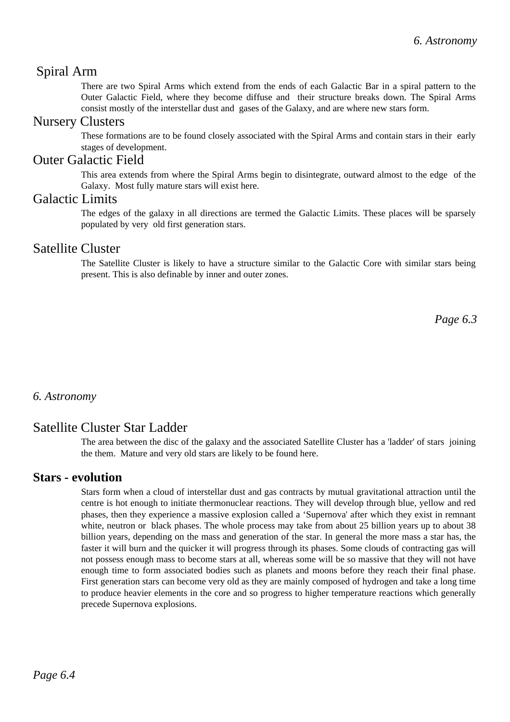## Spiral Arm

There are two Spiral Arms which extend from the ends of each Galactic Bar in a spiral pattern to the Outer Galactic Field, where they become diffuse and their structure breaks down. The Spiral Arms consist mostly of the interstellar dust and gases of the Galaxy, and are where new stars form.

### Nursery Clusters

These formations are to be found closely associated with the Spiral Arms and contain stars in their early stages of development.

### Outer Galactic Field

This area extends from where the Spiral Arms begin to disintegrate, outward almost to the edge of the Galaxy. Most fully mature stars will exist here.

## Galactic Limits

The edges of the galaxy in all directions are termed the Galactic Limits. These places will be sparsely populated by very old first generation stars.

## Satellite Cluster

The Satellite Cluster is likely to have a structure similar to the Galactic Core with similar stars being present. This is also definable by inner and outer zones.

*Page 6.3*

### *6. Astronomy*

# Satellite Cluster Star Ladder

The area between the disc of the galaxy and the associated Satellite Cluster has a 'ladder' of stars joining the them. Mature and very old stars are likely to be found here.

## **Stars - evolution**

Stars form when a cloud of interstellar dust and gas contracts by mutual gravitational attraction until the centre is hot enough to initiate thermonuclear reactions. They will develop through blue, yellow and red phases, then they experience a massive explosion called a 'Supernova' after which they exist in remnant white, neutron or black phases. The whole process may take from about 25 billion years up to about 38 billion years, depending on the mass and generation of the star. In general the more mass a star has, the faster it will burn and the quicker it will progress through its phases. Some clouds of contracting gas will not possess enough mass to become stars at all, whereas some will be so massive that they will not have enough time to form associated bodies such as planets and moons before they reach their final phase. First generation stars can become very old as they are mainly composed of hydrogen and take a long time to produce heavier elements in the core and so progress to higher temperature reactions which generally precede Supernova explosions.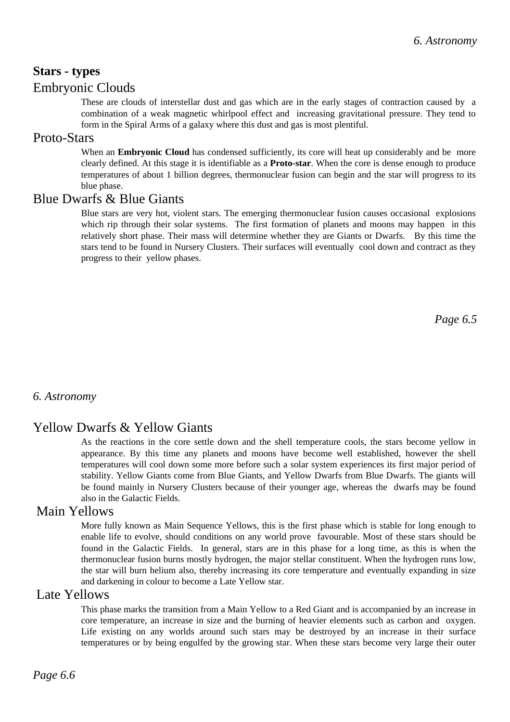# **Stars - types**

### Embryonic Clouds

These are clouds of interstellar dust and gas which are in the early stages of contraction caused by a combination of a weak magnetic whirlpool effect and increasing gravitational pressure. They tend to form in the Spiral Arms of a galaxy where this dust and gas is most plentiful.

#### Proto-Stars

When an **Embryonic Cloud** has condensed sufficiently, its core will heat up considerably and be more clearly defined. At this stage it is identifiable as a **Proto-star**. When the core is dense enough to produce temperatures of about 1 billion degrees, thermonuclear fusion can begin and the star will progress to its blue phase.

### Blue Dwarfs & Blue Giants

Blue stars are very hot, violent stars. The emerging thermonuclear fusion causes occasional explosions which rip through their solar systems. The first formation of planets and moons may happen in this relatively short phase. Their mass will determine whether they are Giants or Dwarfs. By this time the stars tend to be found in Nursery Clusters. Their surfaces will eventually cool down and contract as they progress to their yellow phases.

*Page 6.5*

### *6. Astronomy*

## Yellow Dwarfs & Yellow Giants

As the reactions in the core settle down and the shell temperature cools, the stars become yellow in appearance. By this time any planets and moons have become well established, however the shell temperatures will cool down some more before such a solar system experiences its first major period of stability. Yellow Giants come from Blue Giants, and Yellow Dwarfs from Blue Dwarfs. The giants will be found mainly in Nursery Clusters because of their younger age, whereas the dwarfs may be found also in the Galactic Fields.

## Main Yellows

More fully known as Main Sequence Yellows, this is the first phase which is stable for long enough to enable life to evolve, should conditions on any world prove favourable. Most of these stars should be found in the Galactic Fields. In general, stars are in this phase for a long time, as this is when the thermonuclear fusion burns mostly hydrogen, the major stellar constituent. When the hydrogen runs low, the star will burn helium also, thereby increasing its core temperature and eventually expanding in size and darkening in colour to become a Late Yellow star.

#### Late Yellows

This phase marks the transition from a Main Yellow to a Red Giant and is accompanied by an increase in core temperature, an increase in size and the burning of heavier elements such as carbon and oxygen. Life existing on any worlds around such stars may be destroyed by an increase in their surface temperatures or by being engulfed by the growing star. When these stars become very large their outer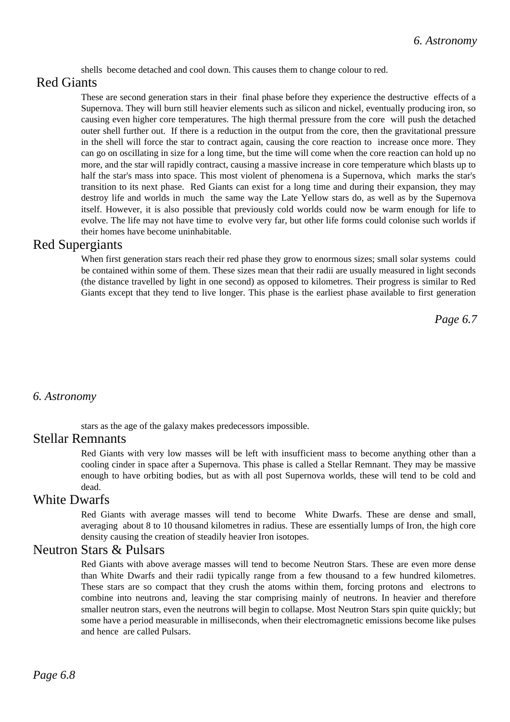shells become detached and cool down. This causes them to change colour to red.

## Red Giants

These are second generation stars in their final phase before they experience the destructive effects of a Supernova. They will burn still heavier elements such as silicon and nickel, eventually producing iron, so causing even higher core temperatures. The high thermal pressure from the core will push the detached outer shell further out. If there is a reduction in the output from the core, then the gravitational pressure in the shell will force the star to contract again, causing the core reaction to increase once more. They can go on oscillating in size for a long time, but the time will come when the core reaction can hold up no more, and the star will rapidly contract, causing a massive increase in core temperature which blasts up to half the star's mass into space. This most violent of phenomena is a Supernova, which marks the star's transition to its next phase. Red Giants can exist for a long time and during their expansion, they may destroy life and worlds in much the same way the Late Yellow stars do, as well as by the Supernova itself. However, it is also possible that previously cold worlds could now be warm enough for life to evolve. The life may not have time to evolve very far, but other life forms could colonise such worlds if their homes have become uninhabitable.

#### Red Supergiants

When first generation stars reach their red phase they grow to enormous sizes; small solar systems could be contained within some of them. These sizes mean that their radii are usually measured in light seconds (the distance travelled by light in one second) as opposed to kilometres. Their progress is similar to Red Giants except that they tend to live longer. This phase is the earliest phase available to first generation

*Page 6.7*

#### *6. Astronomy*

stars as the age of the galaxy makes predecessors impossible.

#### Stellar Remnants

Red Giants with very low masses will be left with insufficient mass to become anything other than a cooling cinder in space after a Supernova. This phase is called a Stellar Remnant. They may be massive enough to have orbiting bodies, but as with all post Supernova worlds, these will tend to be cold and dead.

#### White Dwarfs

Red Giants with average masses will tend to become White Dwarfs. These are dense and small, averaging about 8 to 10 thousand kilometres in radius. These are essentially lumps of Iron, the high core density causing the creation of steadily heavier Iron isotopes.

#### Neutron Stars & Pulsars

Red Giants with above average masses will tend to become Neutron Stars. These are even more dense than White Dwarfs and their radii typically range from a few thousand to a few hundred kilometres. These stars are so compact that they crush the atoms within them, forcing protons and electrons to combine into neutrons and, leaving the star comprising mainly of neutrons. In heavier and therefore smaller neutron stars, even the neutrons will begin to collapse. Most Neutron Stars spin quite quickly; but some have a period measurable in milliseconds, when their electromagnetic emissions become like pulses and hence are called Pulsars.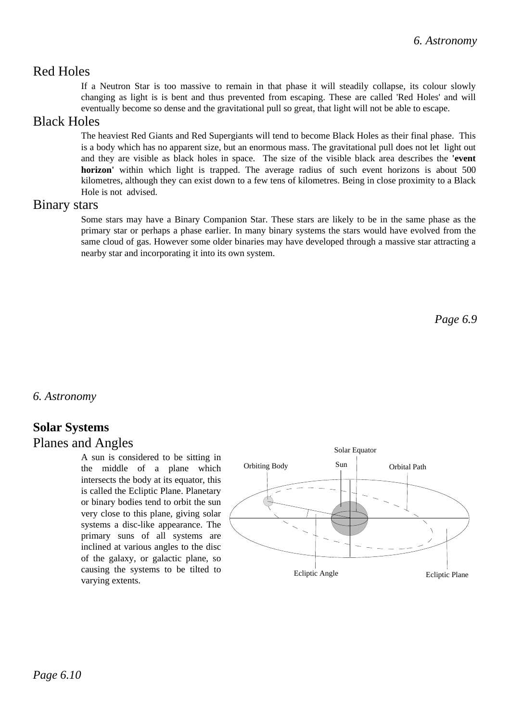## Red Holes

If a Neutron Star is too massive to remain in that phase it will steadily collapse, its colour slowly changing as light is is bent and thus prevented from escaping. These are called 'Red Holes' and will eventually become so dense and the gravitational pull so great, that light will not be able to escape.

## Black Holes

The heaviest Red Giants and Red Supergiants will tend to become Black Holes as their final phase. This is a body which has no apparent size, but an enormous mass. The gravitational pull does not let light out and they are visible as black holes in space. The size of the visible black area describes the **'event horizon'** within which light is trapped. The average radius of such event horizons is about 500 kilometres, although they can exist down to a few tens of kilometres. Being in close proximity to a Black Hole is not advised.

### Binary stars

Some stars may have a Binary Companion Star. These stars are likely to be in the same phase as the primary star or perhaps a phase earlier. In many binary systems the stars would have evolved from the same cloud of gas. However some older binaries may have developed through a massive star attracting a nearby star and incorporating it into its own system.

*Page 6.9*

*6. Astronomy*

# **Solar Systems**

## Planes and Angles

A sun is considered to be sitting in the middle of a plane which intersects the body at its equator, this is called the Ecliptic Plane. Planetary or binary bodies tend to orbit the sun very close to this plane, giving solar systems a disc-like appearance. The primary suns of all systems are inclined at various angles to the disc of the galaxy, or galactic plane, so causing the systems to be tilted to varying extents.

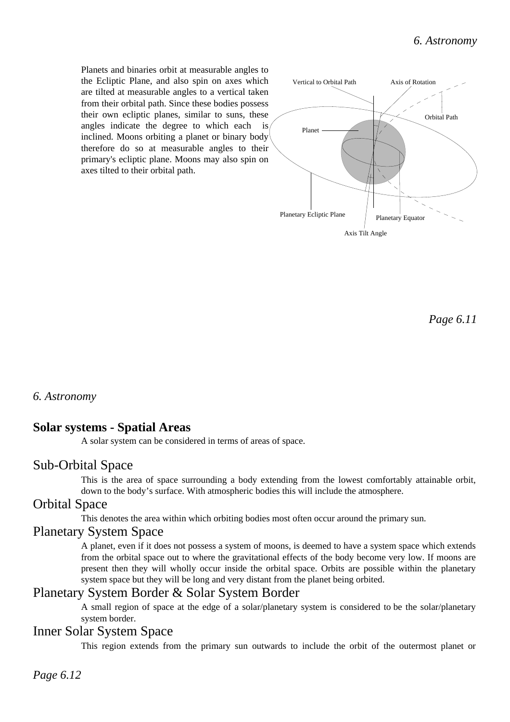Planets and binaries orbit at measurable angles to the Ecliptic Plane, and also spin on axes which are tilted at measurable angles to a vertical taken from their orbital path. Since these bodies possess their own ecliptic planes, similar to suns, these angles indicate the degree to which each is inclined. Moons orbiting a planet or binary body therefore do so at measurable angles to their primary's ecliptic plane. Moons may also spin on axes tilted to their orbital path.



*Page 6.11*

*6. Astronomy*

### **Solar systems - Spatial Areas**

A solar system can be considered in terms of areas of space.

### Sub-Orbital Space

This is the area of space surrounding a body extending from the lowest comfortably attainable orbit, down to the body's surface. With atmospheric bodies this will include the atmosphere.

## Orbital Space

This denotes the area within which orbiting bodies most often occur around the primary sun.

### Planetary System Space

A planet, even if it does not possess a system of moons, is deemed to have a system space which extends from the orbital space out to where the gravitational effects of the body become very low. If moons are present then they will wholly occur inside the orbital space. Orbits are possible within the planetary system space but they will be long and very distant from the planet being orbited.

## Planetary System Border & Solar System Border

A small region of space at the edge of a solar/planetary system is considered to be the solar/planetary system border.

#### Inner Solar System Space

This region extends from the primary sun outwards to include the orbit of the outermost planet or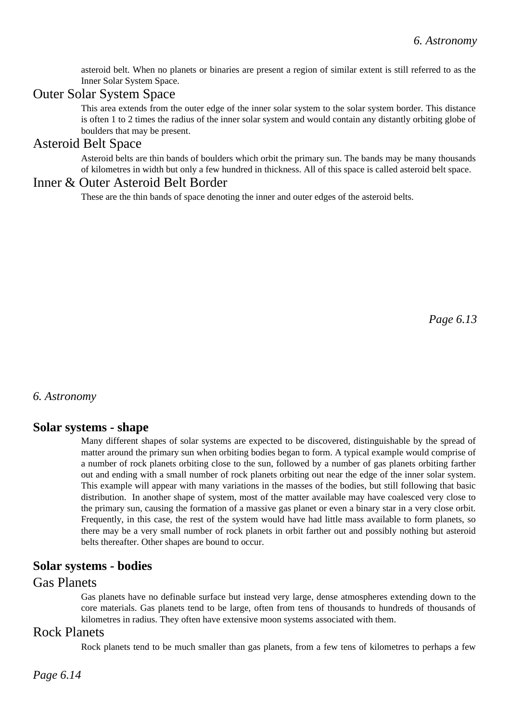asteroid belt. When no planets or binaries are present a region of similar extent is still referred to as the Inner Solar System Space.

## Outer Solar System Space

This area extends from the outer edge of the inner solar system to the solar system border. This distance is often 1 to 2 times the radius of the inner solar system and would contain any distantly orbiting globe of boulders that may be present.

#### Asteroid Belt Space

Asteroid belts are thin bands of boulders which orbit the primary sun. The bands may be many thousands of kilometres in width but only a few hundred in thickness. All of this space is called asteroid belt space.

## Inner & Outer Asteroid Belt Border

These are the thin bands of space denoting the inner and outer edges of the asteroid belts.

*Page 6.13*

#### *6. Astronomy*

### **Solar systems - shape**

Many different shapes of solar systems are expected to be discovered, distinguishable by the spread of matter around the primary sun when orbiting bodies began to form. A typical example would comprise of a number of rock planets orbiting close to the sun, followed by a number of gas planets orbiting farther out and ending with a small number of rock planets orbiting out near the edge of the inner solar system. This example will appear with many variations in the masses of the bodies, but still following that basic distribution. In another shape of system, most of the matter available may have coalesced very close to the primary sun, causing the formation of a massive gas planet or even a binary star in a very close orbit. Frequently, in this case, the rest of the system would have had little mass available to form planets, so there may be a very small number of rock planets in orbit farther out and possibly nothing but asteroid belts thereafter. Other shapes are bound to occur.

### **Solar systems - bodies**

## Gas Planets

Gas planets have no definable surface but instead very large, dense atmospheres extending down to the core materials. Gas planets tend to be large, often from tens of thousands to hundreds of thousands of kilometres in radius. They often have extensive moon systems associated with them.

### Rock Planets

Rock planets tend to be much smaller than gas planets, from a few tens of kilometres to perhaps a few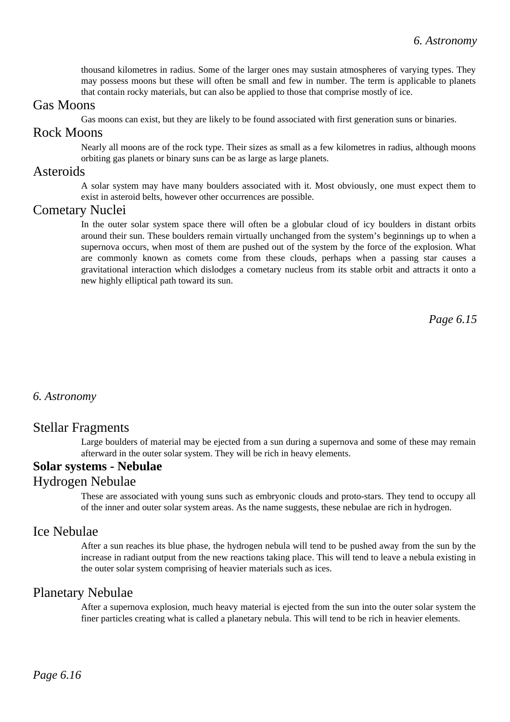thousand kilometres in radius. Some of the larger ones may sustain atmospheres of varying types. They may possess moons but these will often be small and few in number. The term is applicable to planets that contain rocky materials, but can also be applied to those that comprise mostly of ice.

## Gas Moons

Gas moons can exist, but they are likely to be found associated with first generation suns or binaries.

## Rock Moons

Nearly all moons are of the rock type. Their sizes as small as a few kilometres in radius, although moons orbiting gas planets or binary suns can be as large as large planets.

#### Asteroids

A solar system may have many boulders associated with it. Most obviously, one must expect them to exist in asteroid belts, however other occurrences are possible.

#### Cometary Nuclei

In the outer solar system space there will often be a globular cloud of icy boulders in distant orbits around their sun. These boulders remain virtually unchanged from the system's beginnings up to when a supernova occurs, when most of them are pushed out of the system by the force of the explosion. What are commonly known as comets come from these clouds, perhaps when a passing star causes a gravitational interaction which dislodges a cometary nucleus from its stable orbit and attracts it onto a new highly elliptical path toward its sun.

*Page 6.15*

#### *6. Astronomy*

#### Stellar Fragments

Large boulders of material may be ejected from a sun during a supernova and some of these may remain afterward in the outer solar system. They will be rich in heavy elements.

#### **Solar systems - Nebulae**

#### Hydrogen Nebulae

These are associated with young suns such as embryonic clouds and proto-stars. They tend to occupy all of the inner and outer solar system areas. As the name suggests, these nebulae are rich in hydrogen.

### Ice Nebulae

After a sun reaches its blue phase, the hydrogen nebula will tend to be pushed away from the sun by the increase in radiant output from the new reactions taking place. This will tend to leave a nebula existing in the outer solar system comprising of heavier materials such as ices.

### Planetary Nebulae

After a supernova explosion, much heavy material is ejected from the sun into the outer solar system the finer particles creating what is called a planetary nebula. This will tend to be rich in heavier elements.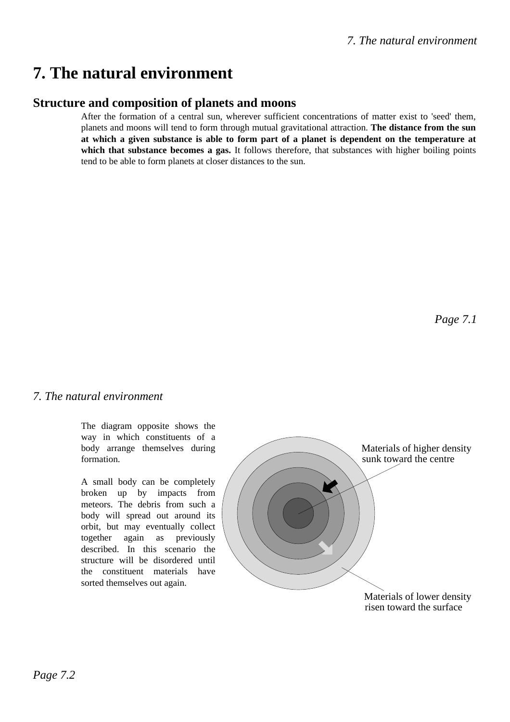# **7. The natural environment**

## **Structure and composition of planets and moons**

After the formation of a central sun, wherever sufficient concentrations of matter exist to 'seed' them, planets and moons will tend to form through mutual gravitational attraction. **The distance from the sun at which a given substance is able to form part of a planet is dependent on the temperature at** which that substance becomes a gas. It follows therefore, that substances with higher boiling points tend to be able to form planets at closer distances to the sun.

#### *7. The natural environment*

The diagram opposite shows the way in which constituents of a body arrange themselves during formation.

A small body can be completely broken up by impacts from meteors. The debris from such a body will spread out around its orbit, but may eventually collect together again as previously described. In this scenario the structure will be disordered until the constituent materials have sorted themselves out again.

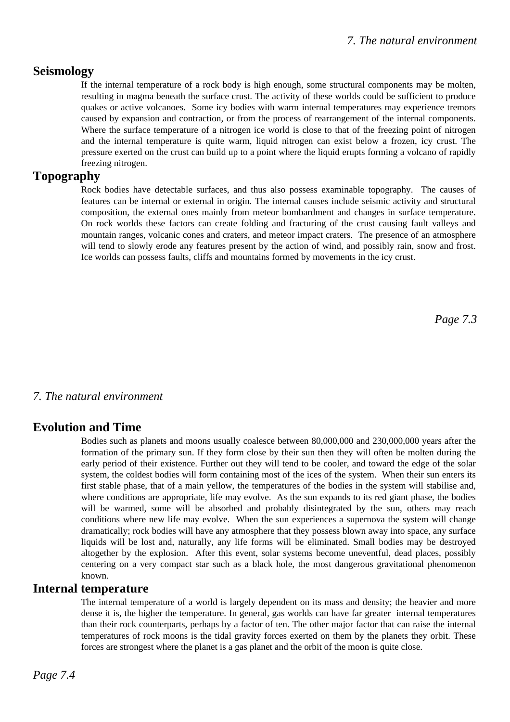### **Seismology**

If the internal temperature of a rock body is high enough, some structural components may be molten, resulting in magma beneath the surface crust. The activity of these worlds could be sufficient to produce quakes or active volcanoes. Some icy bodies with warm internal temperatures may experience tremors caused by expansion and contraction, or from the process of rearrangement of the internal components. Where the surface temperature of a nitrogen ice world is close to that of the freezing point of nitrogen and the internal temperature is quite warm, liquid nitrogen can exist below a frozen, icy crust. The pressure exerted on the crust can build up to a point where the liquid erupts forming a volcano of rapidly freezing nitrogen.

### **Topography**

Rock bodies have detectable surfaces, and thus also possess examinable topography. The causes of features can be internal or external in origin. The internal causes include seismic activity and structural composition, the external ones mainly from meteor bombardment and changes in surface temperature. On rock worlds these factors can create folding and fracturing of the crust causing fault valleys and mountain ranges, volcanic cones and craters, and meteor impact craters. The presence of an atmosphere will tend to slowly erode any features present by the action of wind, and possibly rain, snow and frost. Ice worlds can possess faults, cliffs and mountains formed by movements in the icy crust.

*Page 7.3*

### *7. The natural environment*

## **Evolution and Time**

Bodies such as planets and moons usually coalesce between 80,000,000 and 230,000,000 years after the formation of the primary sun. If they form close by their sun then they will often be molten during the early period of their existence. Further out they will tend to be cooler, and toward the edge of the solar system, the coldest bodies will form containing most of the ices of the system. When their sun enters its first stable phase, that of a main yellow, the temperatures of the bodies in the system will stabilise and, where conditions are appropriate, life may evolve. As the sun expands to its red giant phase, the bodies will be warmed, some will be absorbed and probably disintegrated by the sun, others may reach conditions where new life may evolve. When the sun experiences a supernova the system will change dramatically; rock bodies will have any atmosphere that they possess blown away into space, any surface liquids will be lost and, naturally, any life forms will be eliminated. Small bodies may be destroyed altogether by the explosion. After this event, solar systems become uneventful, dead places, possibly centering on a very compact star such as a black hole, the most dangerous gravitational phenomenon known.

### **Internal temperature**

The internal temperature of a world is largely dependent on its mass and density; the heavier and more dense it is, the higher the temperature. In general, gas worlds can have far greater internal temperatures than their rock counterparts, perhaps by a factor of ten. The other major factor that can raise the internal temperatures of rock moons is the tidal gravity forces exerted on them by the planets they orbit. These forces are strongest where the planet is a gas planet and the orbit of the moon is quite close.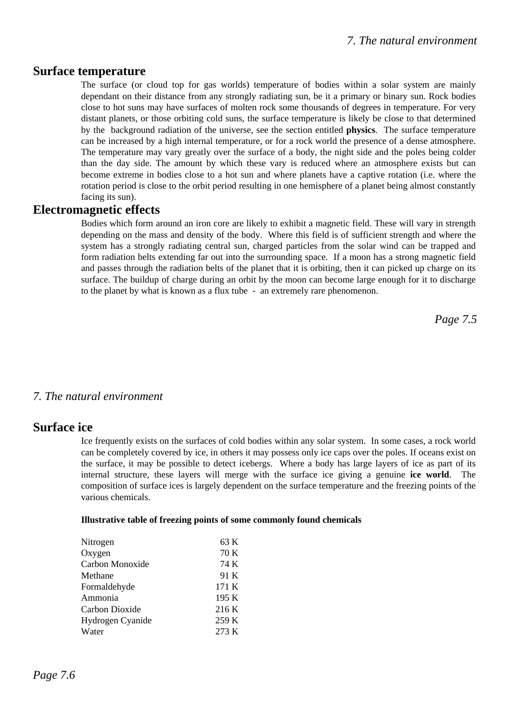#### **Surface temperature**

The surface (or cloud top for gas worlds) temperature of bodies within a solar system are mainly dependant on their distance from any strongly radiating sun, be it a primary or binary sun. Rock bodies close to hot suns may have surfaces of molten rock some thousands of degrees in temperature. For very distant planets, or those orbiting cold suns, the surface temperature is likely be close to that determined by the background radiation of the universe, see the section entitled **physics**. The surface temperature can be increased by a high internal temperature, or for a rock world the presence of a dense atmosphere. The temperature may vary greatly over the surface of a body, the night side and the poles being colder than the day side. The amount by which these vary is reduced where an atmosphere exists but can become extreme in bodies close to a hot sun and where planets have a captive rotation (i.e. where the rotation period is close to the orbit period resulting in one hemisphere of a planet being almost constantly facing its sun).

#### **Electromagnetic effects**

Bodies which form around an iron core are likely to exhibit a magnetic field. These will vary in strength depending on the mass and density of the body. Where this field is of sufficient strength and where the system has a strongly radiating central sun, charged particles from the solar wind can be trapped and form radiation belts extending far out into the surrounding space. If a moon has a strong magnetic field and passes through the radiation belts of the planet that it is orbiting, then it can picked up charge on its surface. The buildup of charge during an orbit by the moon can become large enough for it to discharge to the planet by what is known as a flux tube - an extremely rare phenomenon.

*Page 7.5*

#### *7. The natural environment*

#### **Surface ice**

Ice frequently exists on the surfaces of cold bodies within any solar system. In some cases, a rock world can be completely covered by ice, in others it may possess only ice caps over the poles. If oceans exist on the surface, it may be possible to detect icebergs. Where a body has large layers of ice as part of its internal structure, these layers will merge with the surface ice giving a genuine **ice world**. The composition of surface ices is largely dependent on the surface temperature and the freezing points of the various chemicals.

#### **Illustrative table of freezing points of some commonly found chemicals**

| Nitrogen         | 63 K  |
|------------------|-------|
| Oxygen           | 70 K  |
| Carbon Monoxide  | 74 K  |
| Methane          | 91 K  |
| Formaldehyde     | 171 K |
| Ammonia          | 195 K |
| Carbon Dioxide   | 216K  |
| Hydrogen Cyanide | 259 K |
| Water            | 273 K |
|                  |       |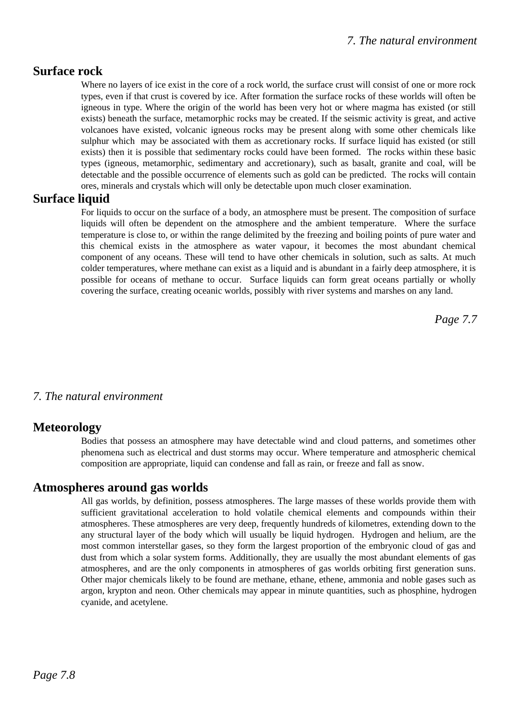## **Surface rock**

Where no layers of ice exist in the core of a rock world, the surface crust will consist of one or more rock types, even if that crust is covered by ice. After formation the surface rocks of these worlds will often be igneous in type. Where the origin of the world has been very hot or where magma has existed (or still exists) beneath the surface, metamorphic rocks may be created. If the seismic activity is great, and active volcanoes have existed, volcanic igneous rocks may be present along with some other chemicals like sulphur which may be associated with them as accretionary rocks. If surface liquid has existed (or still exists) then it is possible that sedimentary rocks could have been formed. The rocks within these basic types (igneous, metamorphic, sedimentary and accretionary), such as basalt, granite and coal, will be detectable and the possible occurrence of elements such as gold can be predicted. The rocks will contain ores, minerals and crystals which will only be detectable upon much closer examination.

### **Surface liquid**

For liquids to occur on the surface of a body, an atmosphere must be present. The composition of surface liquids will often be dependent on the atmosphere and the ambient temperature. Where the surface temperature is close to, or within the range delimited by the freezing and boiling points of pure water and this chemical exists in the atmosphere as water vapour, it becomes the most abundant chemical component of any oceans. These will tend to have other chemicals in solution, such as salts. At much colder temperatures, where methane can exist as a liquid and is abundant in a fairly deep atmosphere, it is possible for oceans of methane to occur. Surface liquids can form great oceans partially or wholly covering the surface, creating oceanic worlds, possibly with river systems and marshes on any land.

*Page 7.7*

### *7. The natural environment*

### **Meteorology**

Bodies that possess an atmosphere may have detectable wind and cloud patterns, and sometimes other phenomena such as electrical and dust storms may occur. Where temperature and atmospheric chemical composition are appropriate, liquid can condense and fall as rain, or freeze and fall as snow.

### **Atmospheres around gas worlds**

All gas worlds, by definition, possess atmospheres. The large masses of these worlds provide them with sufficient gravitational acceleration to hold volatile chemical elements and compounds within their atmospheres. These atmospheres are very deep, frequently hundreds of kilometres, extending down to the any structural layer of the body which will usually be liquid hydrogen. Hydrogen and helium, are the most common interstellar gases, so they form the largest proportion of the embryonic cloud of gas and dust from which a solar system forms. Additionally, they are usually the most abundant elements of gas atmospheres, and are the only components in atmospheres of gas worlds orbiting first generation suns. Other major chemicals likely to be found are methane, ethane, ethene, ammonia and noble gases such as argon, krypton and neon. Other chemicals may appear in minute quantities, such as phosphine, hydrogen cyanide, and acetylene.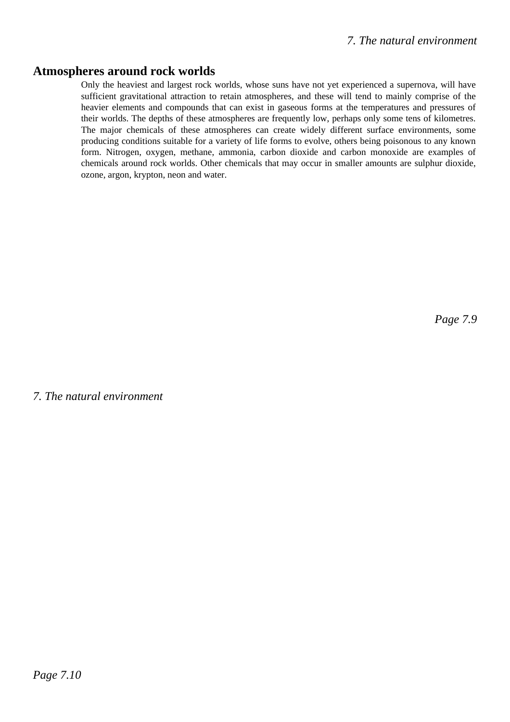#### **Atmospheres around rock worlds**

Only the heaviest and largest rock worlds, whose suns have not yet experienced a supernova, will have sufficient gravitational attraction to retain atmospheres, and these will tend to mainly comprise of the heavier elements and compounds that can exist in gaseous forms at the temperatures and pressures of their worlds. The depths of these atmospheres are frequently low, perhaps only some tens of kilometres. The major chemicals of these atmospheres can create widely different surface environments, some producing conditions suitable for a variety of life forms to evolve, others being poisonous to any known form. Nitrogen, oxygen, methane, ammonia, carbon dioxide and carbon monoxide are examples of chemicals around rock worlds. Other chemicals that may occur in smaller amounts are sulphur dioxide, ozone, argon, krypton, neon and water.

*Page 7.9*

*7. The natural environment*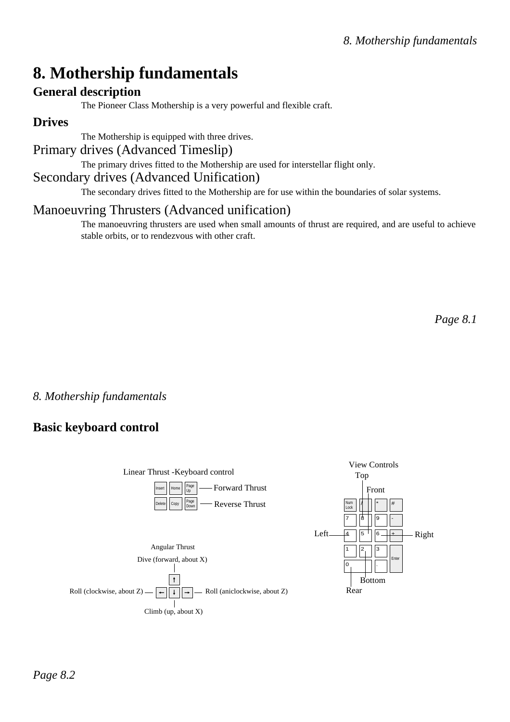# **8. Mothership fundamentals**

## **General description**

The Pioneer Class Mothership is a very powerful and flexible craft.

## **Drives**

The Mothership is equipped with three drives.

# Primary drives (Advanced Timeslip)

The primary drives fitted to the Mothership are used for interstellar flight only.

## Secondary drives (Advanced Unification)

The secondary drives fitted to the Mothership are for use within the boundaries of solar systems.

# Manoeuvring Thrusters (Advanced unification)

The manoeuvring thrusters are used when small amounts of thrust are required, and are useful to achieve stable orbits, or to rendezvous with other craft.

*Page 8.1*

## *8. Mothership fundamentals*

## **Basic keyboard control**

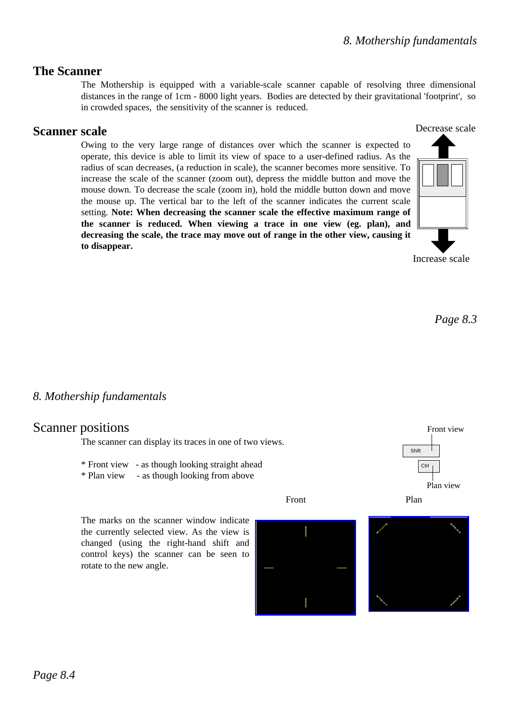## **The Scanner**

The Mothership is equipped with a variable-scale scanner capable of resolving three dimensional distances in the range of 1cm - 8000 light years. Bodies are detected by their gravitational 'footprint', so in crowded spaces, the sensitivity of the scanner is reduced.

## **Scanner scale**

Owing to the very large range of distances over which the scanner is expected to operate, this device is able to limit its view of space to a user-defined radius. As the radius of scan decreases, (a reduction in scale), the scanner becomes more sensitive. To increase the scale of the scanner (zoom out), depress the middle button and move the mouse down. To decrease the scale (zoom in), hold the middle button down and move the mouse up. The vertical bar to the left of the scanner indicates the current scale setting. **Note: When decreasing the scanner scale the effective maximum range of the scanner is reduced. When viewing a trace in one view (eg. plan), and decreasing the scale, the trace may move out of range in the other view, causing it to disappear.**



Increase scale

*Page 8.3*

## *8. Mothership fundamentals*

## Scanner positions

The scanner can display its traces in one of two views.

- \* Front view as though looking straight ahead
- \* Plan view as though looking from above

Front Plan

The marks on the scanner window indicate the currently selected view. As the view is changed (using the right-hand shift and control keys) the scanner can be seen to rotate to the new angle.







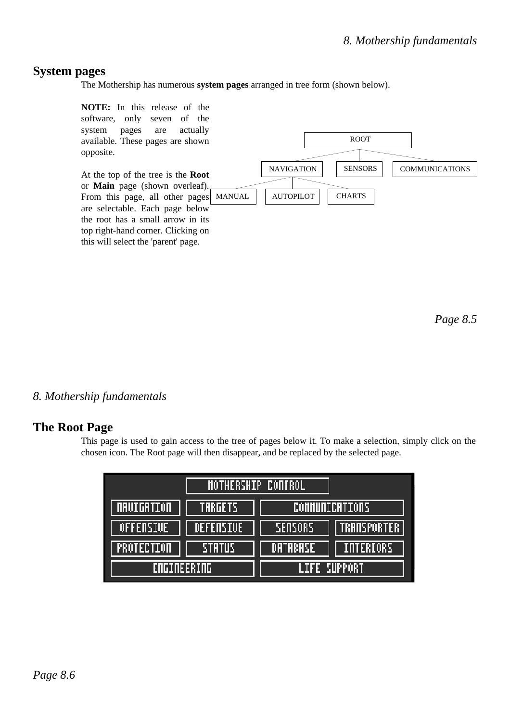## **System pages**

The Mothership has numerous **system pages** arranged in tree form (shown below).



*Page 8.5*

*8. Mothership fundamentals* 

### **The Root Page**

This page is used to gain access to the tree of pages below it. To make a selection, simply click on the chosen icon. The Root page will then disappear, and be replaced by the selected page.

| <b>MOTHERSHIP CONTROL</b>       |           |                                      |
|---------------------------------|-----------|--------------------------------------|
| <b><i><u>ORUIGRIION</u></i></b> | TARGETS   | <b>COMMUNICATIONS</b>                |
| OFFENSIVE                       | DEFENSIVE | <b>TRANSPORTER</b><br><b>SENSORS</b> |
| <b>PROTECTION</b>               | STATUS    | <b>INTERIORS</b><br>DATABASE         |
| <b>FOGINEERING</b>              |           | LIFE SUPPORT                         |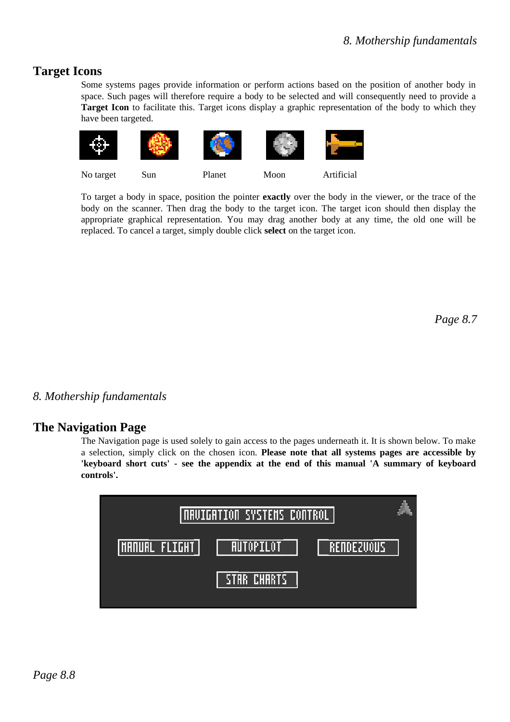## **Target Icons**

Some systems pages provide information or perform actions based on the position of another body in space. Such pages will therefore require a body to be selected and will consequently need to provide a Target Icon to facilitate this. Target icons display a graphic representation of the body to which they have been targeted.



To target a body in space, position the pointer **exactly** over the body in the viewer, or the trace of the body on the scanner. Then drag the body to the target icon. The target icon should then display the appropriate graphical representation. You may drag another body at any time, the old one will be replaced. To cancel a target, simply double click **select** on the target icon.

*Page 8.7*

*8. Mothership fundamentals* 

## **The Navigation Page**

The Navigation page is used solely to gain access to the pages underneath it. It is shown below. To make a selection, simply click on the chosen icon. **Please note that all systems pages are accessible by 'keyboard short cuts' - see the appendix at the end of this manual 'A summary of keyboard controls'.**

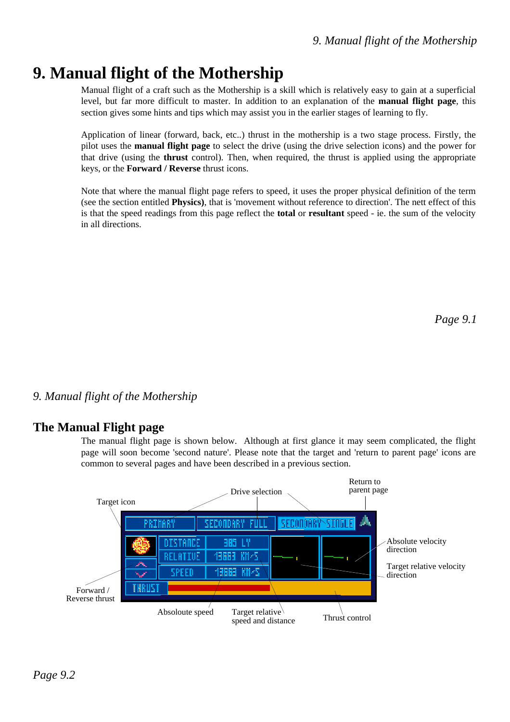# **9. Manual flight of the Mothership**

Manual flight of a craft such as the Mothership is a skill which is relatively easy to gain at a superficial level, but far more difficult to master. In addition to an explanation of the **manual flight page**, this section gives some hints and tips which may assist you in the earlier stages of learning to fly.

Application of linear (forward, back, etc..) thrust in the mothership is a two stage process. Firstly, the pilot uses the **manual flight page** to select the drive (using the drive selection icons) and the power for that drive (using the **thrust** control). Then, when required, the thrust is applied using the appropriate keys, or the **Forward / Reverse** thrust icons.

Note that where the manual flight page refers to speed, it uses the proper physical definition of the term (see the section entitled **Physics)**, that is 'movement without reference to direction'. The nett effect of this is that the speed readings from this page reflect the **total** or **resultant** speed - ie. the sum of the velocity in all directions.

*Page 9.1*

## *9. Manual flight of the Mothership*

### **The Manual Flight page**

The manual flight page is shown below. Although at first glance it may seem complicated, the flight page will soon become 'second nature'. Please note that the target and 'return to parent page' icons are common to several pages and have been described in a previous section.

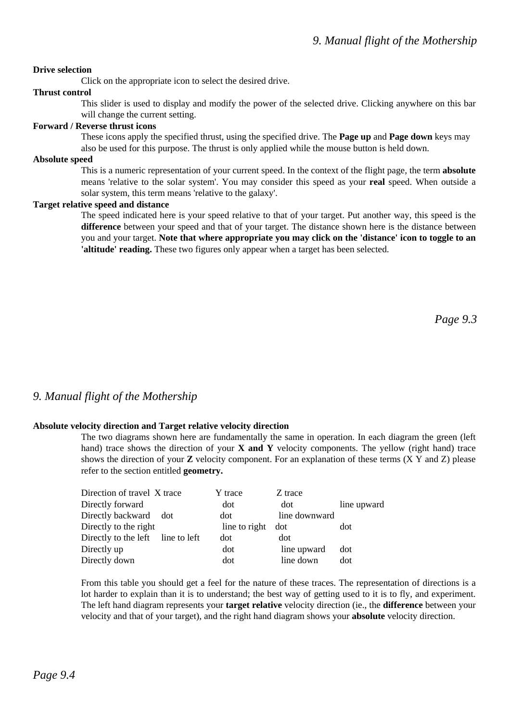#### **Drive selection**

Click on the appropriate icon to select the desired drive.

#### **Thrust control**

This slider is used to display and modify the power of the selected drive. Clicking anywhere on this bar will change the current setting.

#### **Forward / Reverse thrust icons**

These icons apply the specified thrust, using the specified drive. The **Page up** and **Page down** keys may also be used for this purpose. The thrust is only applied while the mouse button is held down.

#### **Absolute speed**

This is a numeric representation of your current speed. In the context of the flight page, the term **absolute** means 'relative to the solar system'. You may consider this speed as your **real** speed. When outside a solar system, this term means 'relative to the galaxy'.

#### **Target relative speed and distance**

The speed indicated here is your speed relative to that of your target. Put another way, this speed is the **difference** between your speed and that of your target. The distance shown here is the distance between you and your target. **Note that where appropriate you may click on the 'distance' icon to toggle to an 'altitude' reading.** These two figures only appear when a target has been selected.

*Page 9.3*

#### *9. Manual flight of the Mothership*

#### **Absolute velocity direction and Target relative velocity direction**

The two diagrams shown here are fundamentally the same in operation. In each diagram the green (left hand) trace shows the direction of your **X and Y** velocity components. The yellow (right hand) trace shows the direction of your **Z** velocity component. For an explanation of these terms (X Y and Z) please refer to the section entitled **geometry.** 

| Direction of travel X trace       | Y trace       | Z trace       |             |
|-----------------------------------|---------------|---------------|-------------|
| Directly forward                  | dot           | dot           | line upward |
| Directly backward dot             | dot           | line downward |             |
| Directly to the right             | line to right | dot           | dot         |
| Directly to the left line to left | dot           | dot           |             |
| Directly up                       | dot           | line upward   | dot         |
| Directly down                     | dot           | line down     | dot         |

From this table you should get a feel for the nature of these traces. The representation of directions is a lot harder to explain than it is to understand; the best way of getting used to it is to fly, and experiment. The left hand diagram represents your **target relative** velocity direction (ie., the **difference** between your velocity and that of your target), and the right hand diagram shows your **absolute** velocity direction.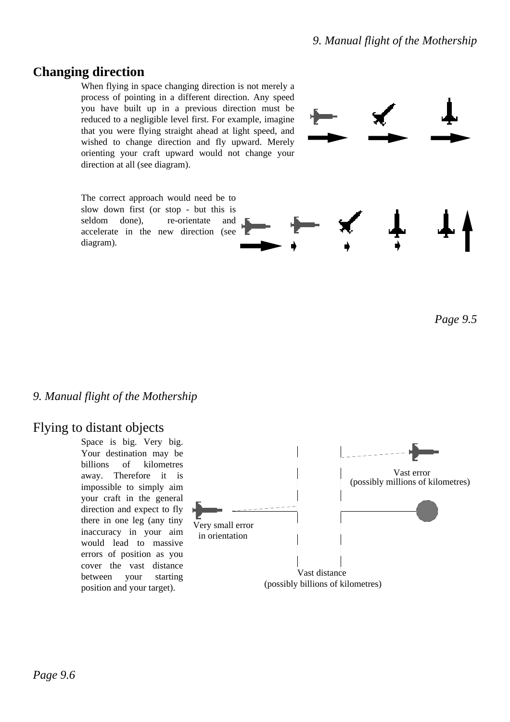# **Changing direction**

When flying in space changing direction is not merely a process of pointing in a different direction. Any speed you have built up in a previous direction must be reduced to a negligible level first. For example, imagine that you were flying straight ahead at light speed, and wished to change direction and fly upward. Merely orienting your craft upward would not change your direction at all (see diagram).

The correct approach would need be to slow down first (or stop - but this is seldom done), re-orientate and accelerate in the new direction (see diagram).



*Page 9.5*

### *9. Manual flight of the Mothership*

## Flying to distant objects

Space is big. Very big. Your destination may be billions of kilometres away. Therefore it is impossible to simply aim your craft in the general direction and expect to fly there in one leg (any tiny inaccuracy in your aim would lead to massive errors of position as you cover the vast distance between your starting position and your target).

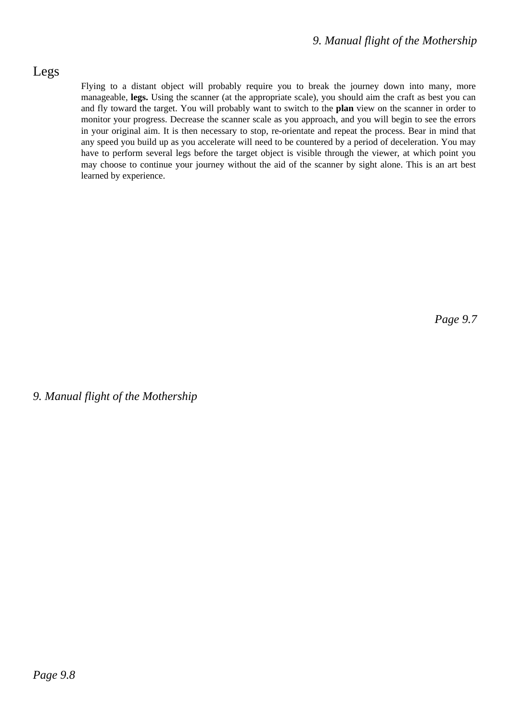## Legs

Flying to a distant object will probably require you to break the journey down into many, more manageable, **legs.** Using the scanner (at the appropriate scale), you should aim the craft as best you can and fly toward the target. You will probably want to switch to the **plan** view on the scanner in order to monitor your progress. Decrease the scanner scale as you approach, and you will begin to see the errors in your original aim. It is then necessary to stop, re-orientate and repeat the process. Bear in mind that any speed you build up as you accelerate will need to be countered by a period of deceleration. You may have to perform several legs before the target object is visible through the viewer, at which point you may choose to continue your journey without the aid of the scanner by sight alone. This is an art best learned by experience.

*Page 9.7*

*9. Manual flight of the Mothership*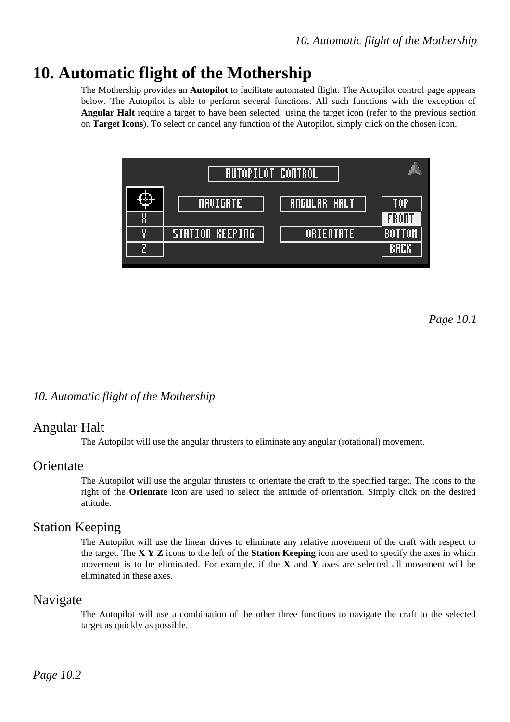# **10. Automatic flight of the Mothership**

The Mothership provides an **Autopilot** to facilitate automated flight. The Autopilot control page appears below. The Autopilot is able to perform several functions. All such functions with the exception of **Angular Halt** require a target to have been selected using the target icon (refer to the previous section on **Target Icons**). To select or cancel any function of the Autopilot, simply click on the chosen icon.



*Page 10.1*

### *10. Automatic flight of the Mothership*

### Angular Halt

The Autopilot will use the angular thrusters to eliminate any angular (rotational) movement.

#### **Orientate**

The Autopilot will use the angular thrusters to orientate the craft to the specified target. The icons to the right of the **Orientate** icon are used to select the attitude of orientation. Simply click on the desired attitude.

### Station Keeping

The Autopilot will use the linear drives to eliminate any relative movement of the craft with respect to the target. The **X Y Z** icons to the left of the **Station Keeping** icon are used to specify the axes in which movement is to be eliminated. For example, if the **X** and **Y** axes are selected all movement will be eliminated in these axes.

#### Navigate

The Autopilot will use a combination of the other three functions to navigate the craft to the selected target as quickly as possible.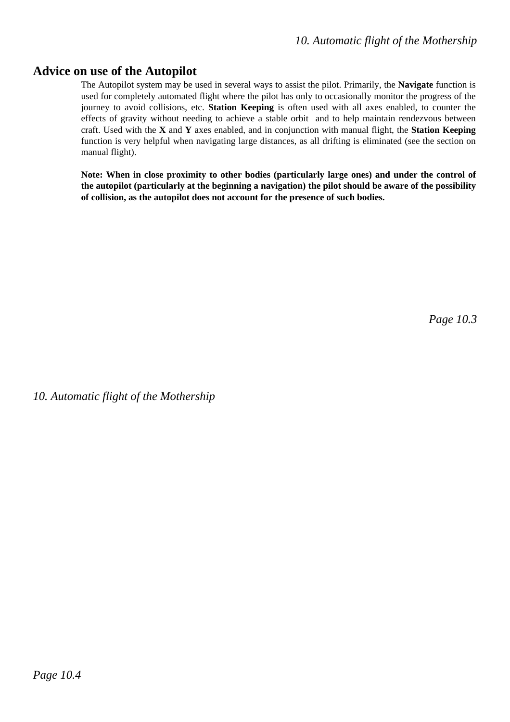### **Advice on use of the Autopilot**

The Autopilot system may be used in several ways to assist the pilot. Primarily, the **Navigate** function is used for completely automated flight where the pilot has only to occasionally monitor the progress of the journey to avoid collisions, etc. **Station Keeping** is often used with all axes enabled, to counter the effects of gravity without needing to achieve a stable orbit and to help maintain rendezvous between craft. Used with the **X** and **Y** axes enabled, and in conjunction with manual flight, the **Station Keeping** function is very helpful when navigating large distances, as all drifting is eliminated (see the section on manual flight).

**Note: When in close proximity to other bodies (particularly large ones) and under the control of the autopilot (particularly at the beginning a navigation) the pilot should be aware of the possibility of collision, as the autopilot does not account for the presence of such bodies.**

*Page 10.3*

*10. Automatic flight of the Mothership*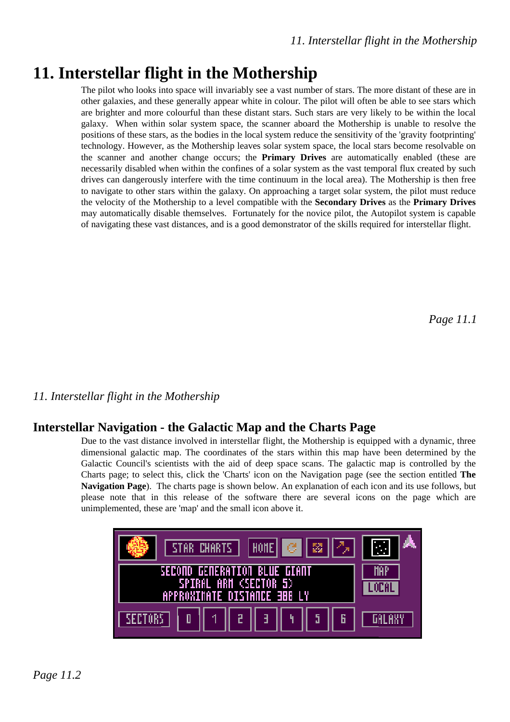# **11. Interstellar flight in the Mothership**

The pilot who looks into space will invariably see a vast number of stars. The more distant of these are in other galaxies, and these generally appear white in colour. The pilot will often be able to see stars which are brighter and more colourful than these distant stars. Such stars are very likely to be within the local galaxy. When within solar system space, the scanner aboard the Mothership is unable to resolve the positions of these stars, as the bodies in the local system reduce the sensitivity of the 'gravity footprinting' technology. However, as the Mothership leaves solar system space, the local stars become resolvable on the scanner and another change occurs; the **Primary Drives** are automatically enabled (these are necessarily disabled when within the confines of a solar system as the vast temporal flux created by such drives can dangerously interfere with the time continuum in the local area). The Mothership is then free to navigate to other stars within the galaxy. On approaching a target solar system, the pilot must reduce the velocity of the Mothership to a level compatible with the **Secondary Drives** as the **Primary Drives** may automatically disable themselves. Fortunately for the novice pilot, the Autopilot system is capable of navigating these vast distances, and is a good demonstrator of the skills required for interstellar flight.

*Page 11.1*

## *11. Interstellar flight in the Mothership*

## **Interstellar Navigation - the Galactic Map and the Charts Page**

Due to the vast distance involved in interstellar flight, the Mothership is equipped with a dynamic, three dimensional galactic map. The coordinates of the stars within this map have been determined by the Galactic Council's scientists with the aid of deep space scans. The galactic map is controlled by the Charts page; to select this, click the 'Charts' icon on the Navigation page (see the section entitled **The Navigation Page**). The charts page is shown below. An explanation of each icon and its use follows, but please note that in this release of the software there are several icons on the page which are unimplemented, these are 'map' and the small icon above it.

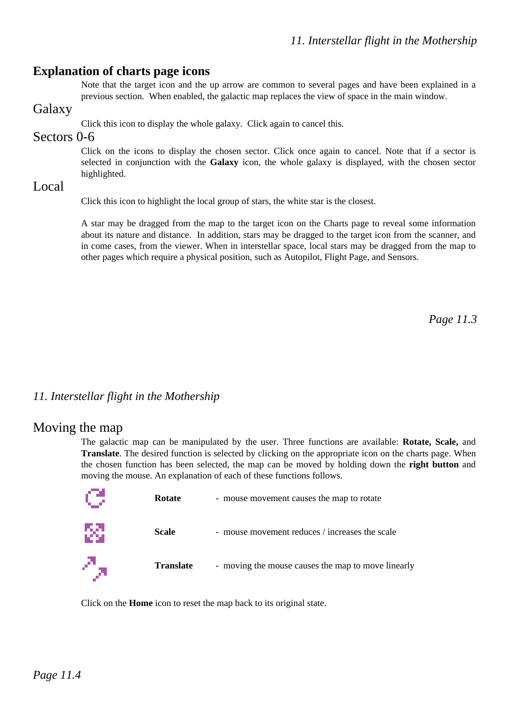#### **Explanation of charts page icons**

Note that the target icon and the up arrow are common to several pages and have been explained in a previous section. When enabled, the galactic map replaces the view of space in the main window.

### Galaxy

Click this icon to display the whole galaxy. Click again to cancel this.

#### Sectors 0-6

Click on the icons to display the chosen sector. Click once again to cancel. Note that if a sector is selected in conjunction with the **Galaxy** icon, the whole galaxy is displayed, with the chosen sector highlighted.

#### Local

Click this icon to highlight the local group of stars, the white star is the closest.

A star may be dragged from the map to the target icon on the Charts page to reveal some information about its nature and distance. In addition, stars may be dragged to the target icon from the scanner, and in come cases, from the viewer. When in interstellar space, local stars may be dragged from the map to other pages which require a physical position, such as Autopilot, Flight Page, and Sensors.

*Page 11.3*

### *11. Interstellar flight in the Mothership*

#### Moving the map

The galactic map can be manipulated by the user. Three functions are available: **Rotate, Scale,** and **Translate**. The desired function is selected by clicking on the appropriate icon on the charts page. When the chosen function has been selected, the map can be moved by holding down the **right button** and moving the mouse. An explanation of each of these functions follows.

|   | <b>Rotate</b>    | - mouse movement causes the map to rotate          |
|---|------------------|----------------------------------------------------|
| 綴 | <b>Scale</b>     | - mouse movement reduces / increases the scale     |
| Д | <b>Translate</b> | - moving the mouse causes the map to move linearly |

Click on the **Home** icon to reset the map back to its original state.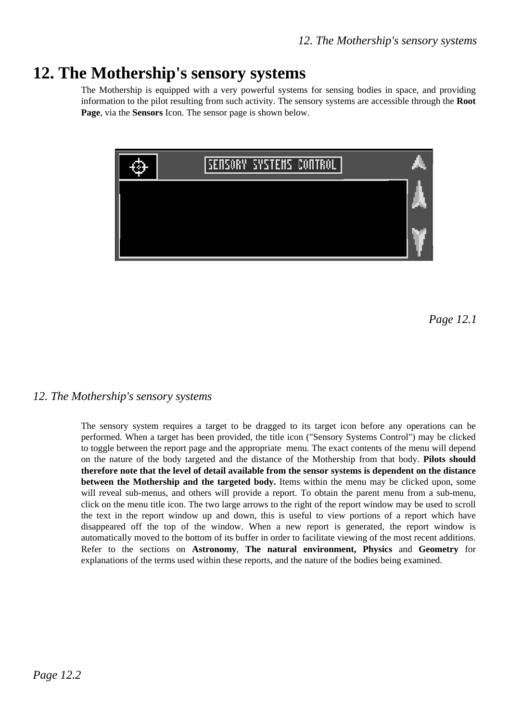# **12. The Mothership's sensory systems**

The Mothership is equipped with a very powerful systems for sensing bodies in space, and providing information to the pilot resulting from such activity. The sensory systems are accessible through the **Root Page**, via the **Sensors** Icon. The sensor page is shown below.



*Page 12.1*

#### *12. The Mothership's sensory systems*

The sensory system requires a target to be dragged to its target icon before any operations can be performed. When a target has been provided, the title icon ("Sensory Systems Control") may be clicked to toggle between the report page and the appropriate menu. The exact contents of the menu will depend on the nature of the body targeted and the distance of the Mothership from that body. **Pilots should therefore note that the level of detail available from the sensor systems is dependent on the distance between the Mothership and the targeted body.** Items within the menu may be clicked upon, some will reveal sub-menus, and others will provide a report. To obtain the parent menu from a sub-menu, click on the menu title icon. The two large arrows to the right of the report window may be used to scroll the text in the report window up and down, this is useful to view portions of a report which have disappeared off the top of the window. When a new report is generated, the report window is automatically moved to the bottom of its buffer in order to facilitate viewing of the most recent additions. Refer to the sections on **Astronomy**, **The natural environment, Physics** and **Geometry** for explanations of the terms used within these reports, and the nature of the bodies being examined.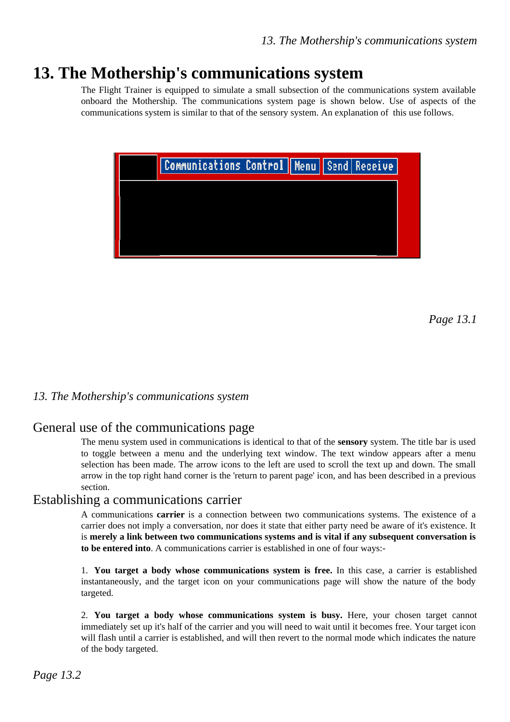# **13. The Mothership's communications system**

The Flight Trainer is equipped to simulate a small subsection of the communications system available onboard the Mothership. The communications system page is shown below. Use of aspects of the communications system is similar to that of the sensory system. An explanation of this use follows.



*Page 13.1*

#### *13. The Mothership's communications system*

### General use of the communications page

The menu system used in communications is identical to that of the **sensory** system. The title bar is used to toggle between a menu and the underlying text window. The text window appears after a menu selection has been made. The arrow icons to the left are used to scroll the text up and down. The small arrow in the top right hand corner is the 'return to parent page' icon, and has been described in a previous section.

#### Establishing a communications carrier

A communications **carrier** is a connection between two communications systems. The existence of a carrier does not imply a conversation, nor does it state that either party need be aware of it's existence. It is **merely a link between two communications systems and is vital if any subsequent conversation is to be entered into**. A communications carrier is established in one of four ways:-

1. **You target a body whose communications system is free.** In this case, a carrier is established instantaneously, and the target icon on your communications page will show the nature of the body targeted.

2. **You target a body whose communications system is busy.** Here, your chosen target cannot immediately set up it's half of the carrier and you will need to wait until it becomes free. Your target icon will flash until a carrier is established, and will then revert to the normal mode which indicates the nature of the body targeted.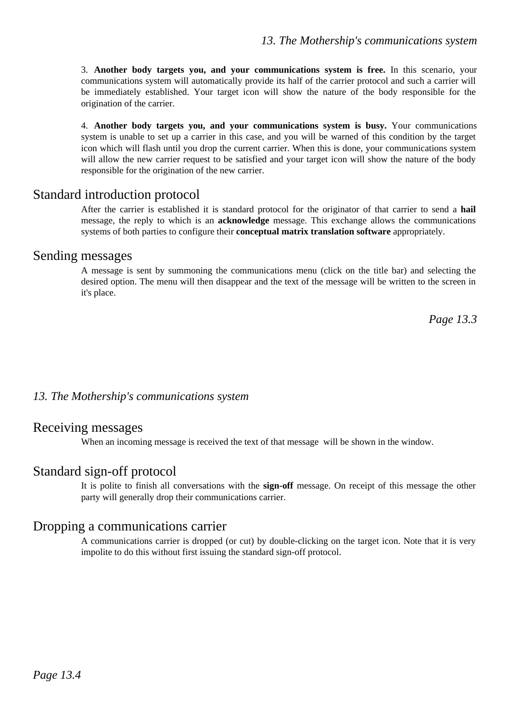3. **Another body targets you, and your communications system is free.** In this scenario, your communications system will automatically provide its half of the carrier protocol and such a carrier will be immediately established. Your target icon will show the nature of the body responsible for the origination of the carrier.

4. **Another body targets you, and your communications system is busy.** Your communications system is unable to set up a carrier in this case, and you will be warned of this condition by the target icon which will flash until you drop the current carrier. When this is done, your communications system will allow the new carrier request to be satisfied and your target icon will show the nature of the body responsible for the origination of the new carrier.

### Standard introduction protocol

After the carrier is established it is standard protocol for the originator of that carrier to send a **hail** message, the reply to which is an **acknowledge** message. This exchange allows the communications systems of both parties to configure their **conceptual matrix translation software** appropriately.

#### Sending messages

A message is sent by summoning the communications menu (click on the title bar) and selecting the desired option. The menu will then disappear and the text of the message will be written to the screen in it's place.

*Page 13.3*

#### *13. The Mothership's communications system*

#### Receiving messages

When an incoming message is received the text of that message will be shown in the window.

## Standard sign-off protocol

It is polite to finish all conversations with the **sign-off** message. On receipt of this message the other party will generally drop their communications carrier.

## Dropping a communications carrier

A communications carrier is dropped (or cut) by double-clicking on the target icon. Note that it is very impolite to do this without first issuing the standard sign-off protocol.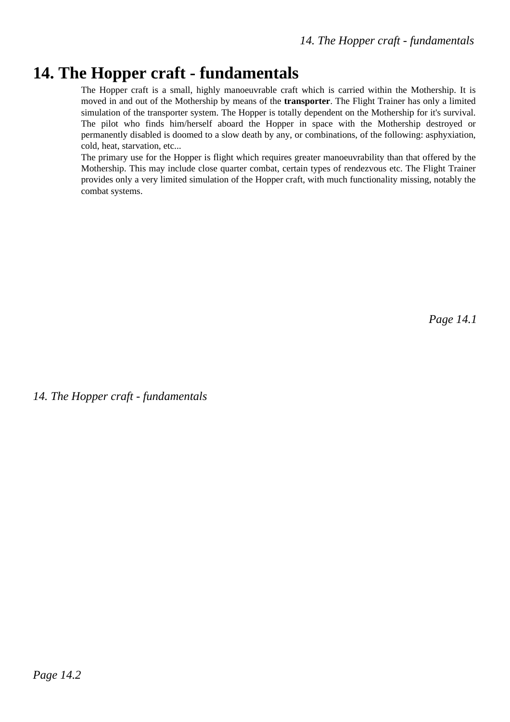# **14. The Hopper craft - fundamentals**

The Hopper craft is a small, highly manoeuvrable craft which is carried within the Mothership. It is moved in and out of the Mothership by means of the **transporter**. The Flight Trainer has only a limited simulation of the transporter system. The Hopper is totally dependent on the Mothership for it's survival. The pilot who finds him/herself aboard the Hopper in space with the Mothership destroyed or permanently disabled is doomed to a slow death by any, or combinations, of the following: asphyxiation, cold, heat, starvation, etc...

The primary use for the Hopper is flight which requires greater manoeuvrability than that offered by the Mothership. This may include close quarter combat, certain types of rendezvous etc. The Flight Trainer provides only a very limited simulation of the Hopper craft, with much functionality missing, notably the combat systems.

*Page 14.1*

*14. The Hopper craft - fundamentals*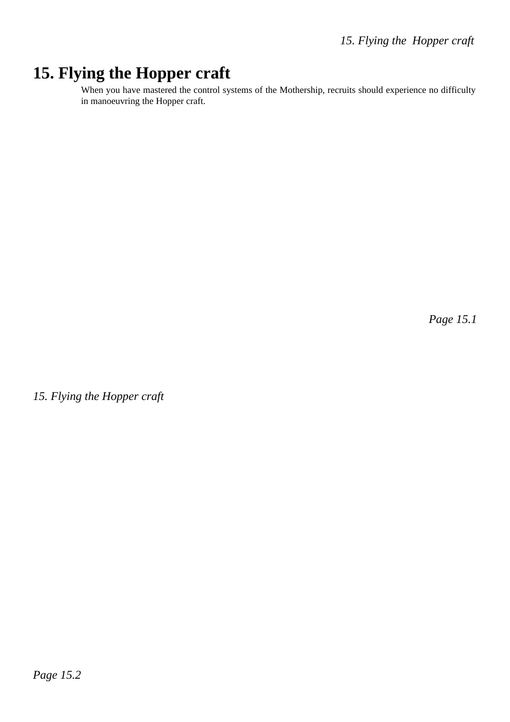# **15. Flying the Hopper craft**

When you have mastered the control systems of the Mothership, recruits should experience no difficulty in manoeuvring the Hopper craft.

*Page 15.1*

*15. Flying the Hopper craft*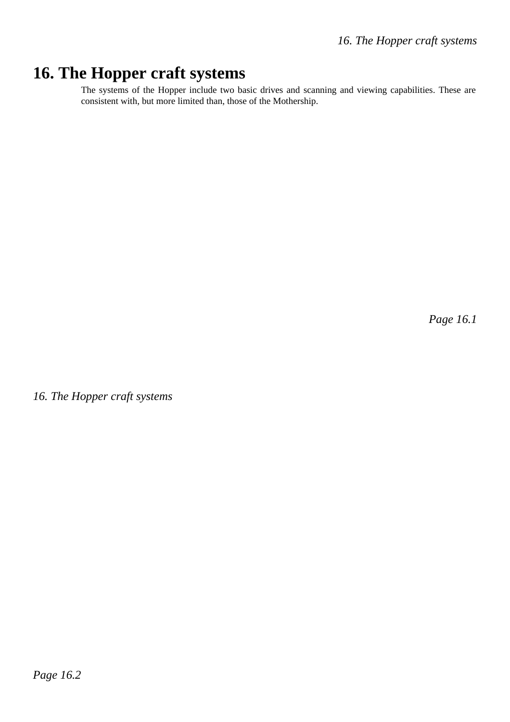# **16. The Hopper craft systems**

The systems of the Hopper include two basic drives and scanning and viewing capabilities. These are consistent with, but more limited than, those of the Mothership.

*Page 16.1*

*16. The Hopper craft systems*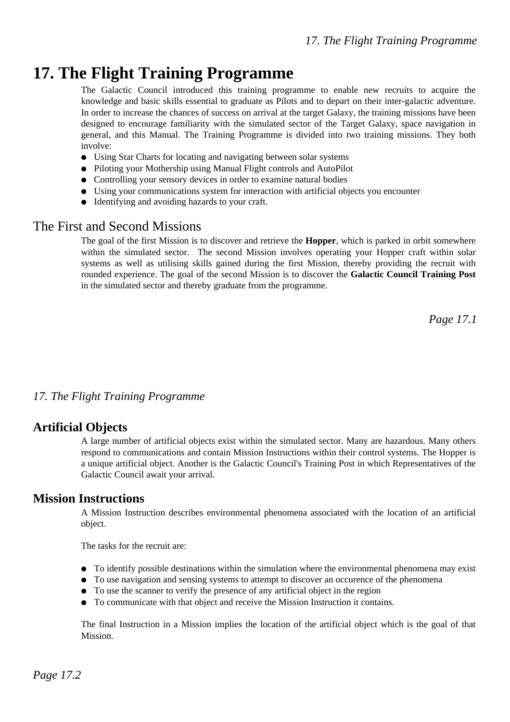# **17. The Flight Training Programme**

The Galactic Council introduced this training programme to enable new recruits to acquire the knowledge and basic skills essential to graduate as Pilots and to depart on their inter-galactic adventure. In order to increase the chances of success on arrival at the target Galaxy, the training missions have been designed to encourage familiarity with the simulated sector of the Target Galaxy, space navigation in general, and this Manual. The Training Programme is divided into two training missions. They both involve:

- Using Star Charts for locating and navigating between solar systems
- Piloting your Mothership using Manual Flight controls and AutoPilot
- Controlling your sensory devices in order to examine natural bodies
- Using your communications system for interaction with artificial objects you encounter
- $\bullet$  Identifying and avoiding hazards to your craft.

### The First and Second Missions

The goal of the first Mission is to discover and retrieve the **Hopper**, which is parked in orbit somewhere within the simulated sector. The second Mission involves operating your Hopper craft within solar systems as well as utilising skills gained during the first Mission, thereby providing the recruit with rounded experience. The goal of the second Mission is to discover the **Galactic Council Training Post** in the simulated sector and thereby graduate from the programme.

*Page 17.1*

#### *17. The Flight Training Programme*

### **Artificial Objects**

A large number of artificial objects exist within the simulated sector. Many are hazardous. Many others respond to communications and contain Mission Instructions within their control systems. The Hopper is a unique artificial object. Another is the Galactic Council's Training Post in which Representatives of the Galactic Council await your arrival.

#### **Mission Instructions**

A Mission Instruction describes environmental phenomena associated with the location of an artificial object.

The tasks for the recruit are:

- $\bullet$  To identify possible destinations within the simulation where the environmental phenomena may exist
- $\bullet$  To use navigation and sensing systems to attempt to discover an occurence of the phenomena
- To use the scanner to verify the presence of any artificial object in the region
- To communicate with that object and receive the Mission Instruction it contains.

The final Instruction in a Mission implies the location of the artificial object which is the goal of that Mission.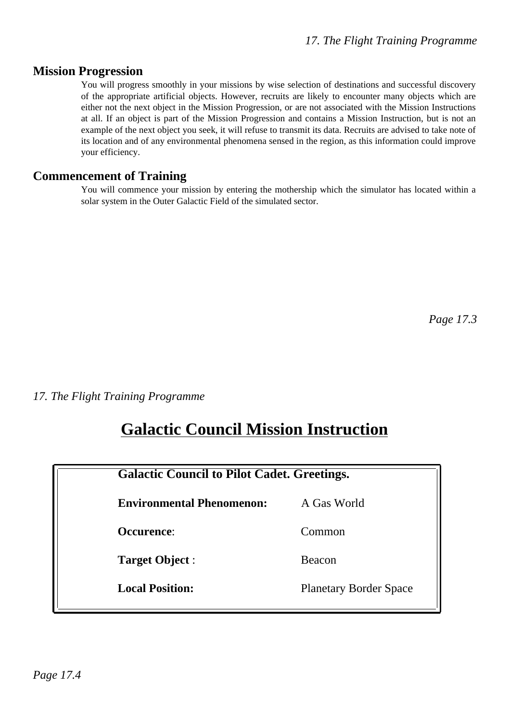### **Mission Progression**

You will progress smoothly in your missions by wise selection of destinations and successful discovery of the appropriate artificial objects. However, recruits are likely to encounter many objects which are either not the next object in the Mission Progression, or are not associated with the Mission Instructions at all. If an object is part of the Mission Progression and contains a Mission Instruction, but is not an example of the next object you seek, it will refuse to transmit its data. Recruits are advised to take note of its location and of any environmental phenomena sensed in the region, as this information could improve your efficiency.

#### **Commencement of Training**

You will commence your mission by entering the mothership which the simulator has located within a solar system in the Outer Galactic Field of the simulated sector.

*Page 17.3*

*17. The Flight Training Programme*

# **Galactic Council Mission Instruction**

|                                  | <b>Galactic Council to Pilot Cadet. Greetings.</b> |  |
|----------------------------------|----------------------------------------------------|--|
| <b>Environmental Phenomenon:</b> | A Gas World                                        |  |
| Occurence:                       | Common                                             |  |
| <b>Target Object:</b>            | Beacon                                             |  |
| <b>Local Position:</b>           | <b>Planetary Border Space</b>                      |  |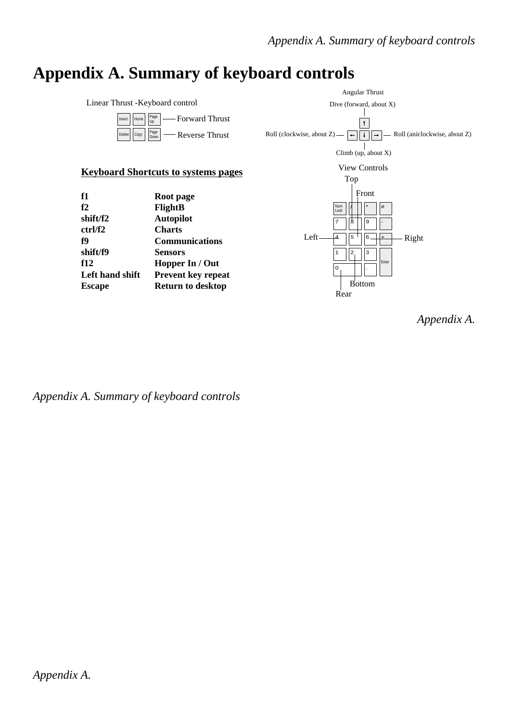# **Appendix A. Summary of keyboard controls**



*Appendix A. Summary of keyboard controls*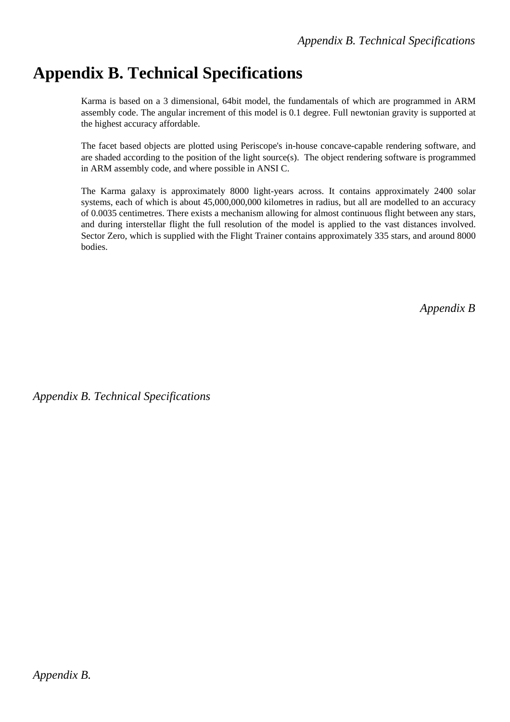# **Appendix B. Technical Specifications**

Karma is based on a 3 dimensional, 64bit model, the fundamentals of which are programmed in ARM assembly code. The angular increment of this model is 0.1 degree. Full newtonian gravity is supported at the highest accuracy affordable.

The facet based objects are plotted using Periscope's in-house concave-capable rendering software, and are shaded according to the position of the light source(s). The object rendering software is programmed in ARM assembly code, and where possible in ANSI C.

The Karma galaxy is approximately 8000 light-years across. It contains approximately 2400 solar systems, each of which is about 45,000,000,000 kilometres in radius, but all are modelled to an accuracy of 0.0035 centimetres. There exists a mechanism allowing for almost continuous flight between any stars, and during interstellar flight the full resolution of the model is applied to the vast distances involved. Sector Zero, which is supplied with the Flight Trainer contains approximately 335 stars, and around 8000 bodies.

*Appendix B*

*Appendix B. Technical Specifications*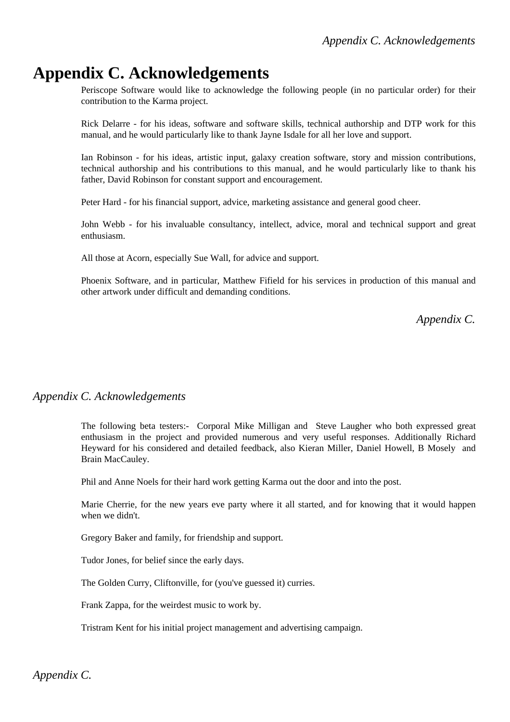# **Appendix C. Acknowledgements**

Periscope Software would like to acknowledge the following people (in no particular order) for their contribution to the Karma project.

Rick Delarre - for his ideas, software and software skills, technical authorship and DTP work for this manual, and he would particularly like to thank Jayne Isdale for all her love and support.

Ian Robinson - for his ideas, artistic input, galaxy creation software, story and mission contributions, technical authorship and his contributions to this manual, and he would particularly like to thank his father, David Robinson for constant support and encouragement.

Peter Hard - for his financial support, advice, marketing assistance and general good cheer.

John Webb - for his invaluable consultancy, intellect, advice, moral and technical support and great enthusiasm.

All those at Acorn, especially Sue Wall, for advice and support.

Phoenix Software, and in particular, Matthew Fifield for his services in production of this manual and other artwork under difficult and demanding conditions.

*Appendix C.*

### *Appendix C. Acknowledgements*

The following beta testers:- Corporal Mike Milligan and Steve Laugher who both expressed great enthusiasm in the project and provided numerous and very useful responses. Additionally Richard Heyward for his considered and detailed feedback, also Kieran Miller, Daniel Howell, B Mosely and Brain MacCauley.

Phil and Anne Noels for their hard work getting Karma out the door and into the post.

Marie Cherrie, for the new years eve party where it all started, and for knowing that it would happen when we didn't.

Gregory Baker and family, for friendship and support.

Tudor Jones, for belief since the early days.

The Golden Curry, Cliftonville, for (you've guessed it) curries.

Frank Zappa, for the weirdest music to work by.

Tristram Kent for his initial project management and advertising campaign.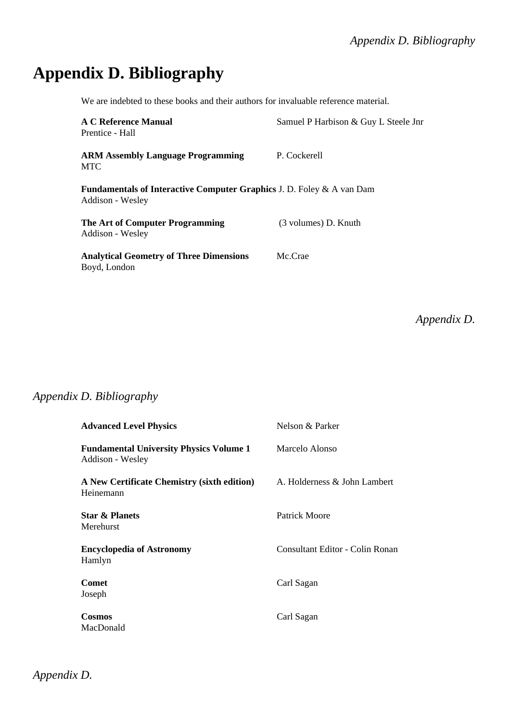# **Appendix D. Bibliography**

We are indebted to these books and their authors for invaluable reference material.

| A C Reference Manual<br>Prentice - Hall                                                   | Samuel P Harbison & Guy L Steele Jnr |
|-------------------------------------------------------------------------------------------|--------------------------------------|
| <b>ARM Assembly Language Programming</b><br><b>MTC</b>                                    | P. Cockerell                         |
| Fundamentals of Interactive Computer Graphics J. D. Foley & A van Dam<br>Addison - Wesley |                                      |
| The Art of Computer Programming<br>Addison - Wesley                                       | (3 volumes) D. Knuth                 |
| <b>Analytical Geometry of Three Dimensions</b><br>Boyd, London                            | Mc.Crae                              |

*Appendix D.*

# *Appendix D. Bibliography*

| <b>Advanced Level Physics</b>                                      | Nelson & Parker                 |
|--------------------------------------------------------------------|---------------------------------|
| <b>Fundamental University Physics Volume 1</b><br>Addison - Wesley | Marcelo Alonso                  |
| A New Certificate Chemistry (sixth edition)<br>Heinemann           | A. Holderness & John Lambert    |
| <b>Star &amp; Planets</b><br>Merehurst                             | Patrick Moore                   |
| <b>Encyclopedia of Astronomy</b><br>Hamlyn                         | Consultant Editor - Colin Ronan |
| <b>Comet</b><br>Joseph                                             | Carl Sagan                      |
| <b>Cosmos</b><br>MacDonald                                         | Carl Sagan                      |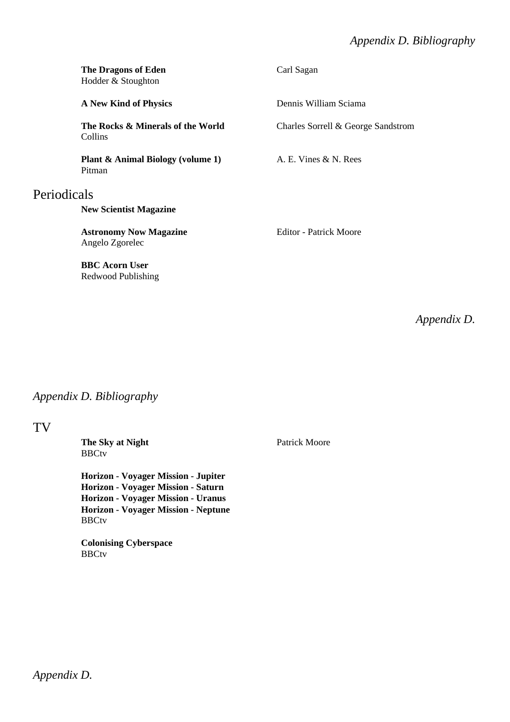## *Appendix D. Bibliography*

|             | <b>The Dragons of Eden</b><br>Hodder & Stoughton       | Carl Sagan                         |
|-------------|--------------------------------------------------------|------------------------------------|
|             | <b>A New Kind of Physics</b>                           | Dennis William Sciama              |
|             | The Rocks & Minerals of the World<br>Collins           | Charles Sorrell & George Sandstrom |
|             | <b>Plant &amp; Animal Biology (volume 1)</b><br>Pitman | A. E. Vines & N. Rees              |
| Periodicals |                                                        |                                    |
|             | <b>New Scientist Magazine</b>                          |                                    |
|             | <b>Astronomy Now Magazine</b><br>Angelo Zgorelec       | Editor - Patrick Moore             |
|             | <b>BBC</b> Acorn User<br>Redwood Publishing            |                                    |

*Appendix D.*

## *Appendix D. Bibliography*

#### TV

**The Sky at Night** Patrick Moore **BBCtv** 

**Horizon - Voyager Mission - Jupiter Horizon - Voyager Mission - Saturn Horizon - Voyager Mission - Uranus Horizon - Voyager Mission - Neptune BBCtv** 

**Colonising Cyberspace BBCtv**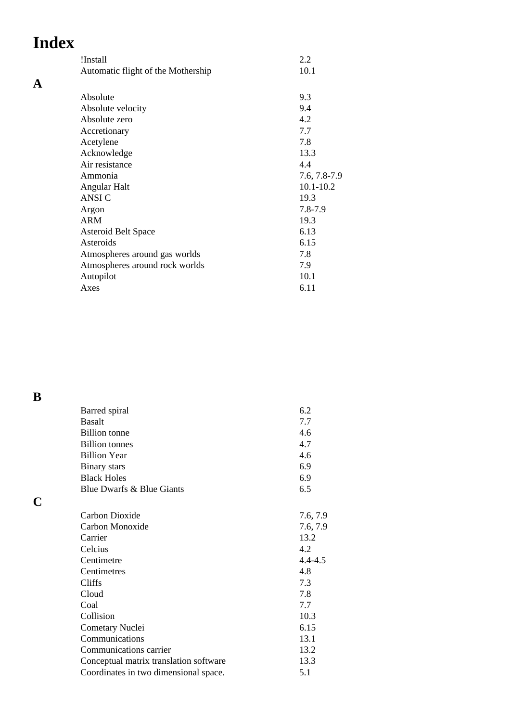# **Index**

**A**

| !Install                           | 2.2           |
|------------------------------------|---------------|
| Automatic flight of the Mothership | 10.1          |
|                                    |               |
| Absolute                           | 9.3           |
| Absolute velocity                  | 9.4           |
| Absolute zero                      | 4.2           |
| Accretionary                       | 7.7           |
| Acetylene                          | 7.8           |
| Acknowledge                        | 13.3          |
| Air resistance                     | 4.4           |
| Ammonia                            | 7.6, 7.8-7.9  |
| Angular Halt                       | $10.1 - 10.2$ |
| <b>ANSIC</b>                       | 19.3          |
| Argon                              | 7.8-7.9       |
| <b>ARM</b>                         | 19.3          |
| <b>Asteroid Belt Space</b>         | 6.13          |
| Asteroids                          | 6.15          |
| Atmospheres around gas worlds      | 7.8           |
| Atmospheres around rock worlds     | 7.9           |
| Autopilot                          | 10.1          |
| Axes                               | 6.11          |
|                                    |               |

**B**

**C**

| Barred spiral                          | 6.2         |
|----------------------------------------|-------------|
| <b>Basalt</b>                          | 7.7         |
| <b>Billion</b> tonne                   | 4.6         |
| <b>Billion</b> tonnes                  | 4.7         |
| <b>Billion Year</b>                    | 4.6         |
| <b>Binary</b> stars                    | 6.9         |
| <b>Black Holes</b>                     | 6.9         |
| Blue Dwarfs & Blue Giants              | 6.5         |
|                                        |             |
| Carbon Dioxide                         | 7.6, 7.9    |
| Carbon Monoxide                        | 7.6, 7.9    |
| Carrier                                | 13.2        |
| Celcius                                | 4.2         |
| Centimetre                             | $4.4 - 4.5$ |
| Centimetres                            | 4.8         |
| <b>Cliffs</b>                          | 7.3         |
| Cloud                                  | 7.8         |
| Coal                                   | 7.7         |
| Collision                              | 10.3        |
| Cometary Nuclei                        | 6.15        |
| Communications                         | 13.1        |
| Communications carrier                 | 13.2        |
| Conceptual matrix translation software | 13.3        |
| Coordinates in two dimensional space.  | 5.1         |
|                                        |             |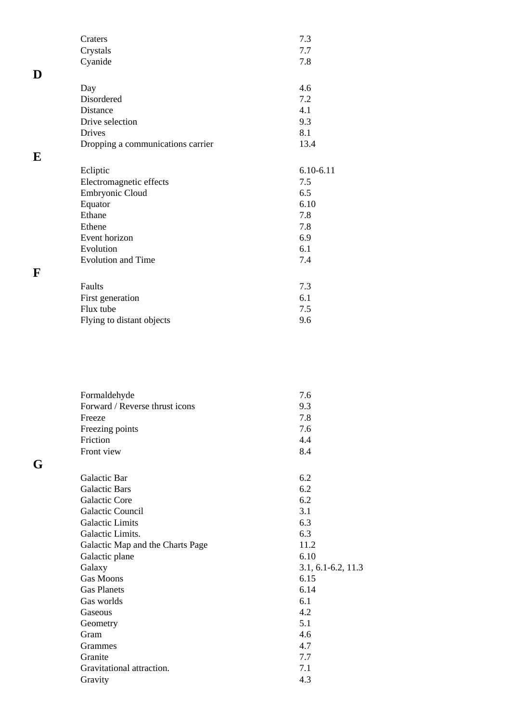|   | Craters                           | 7.3           |
|---|-----------------------------------|---------------|
|   | Crystals                          | 7.7           |
|   | Cyanide                           | 7.8           |
| D |                                   |               |
|   | Day                               | 4.6           |
|   | Disordered                        | 7.2           |
|   | Distance                          | 4.1           |
|   | Drive selection                   | 9.3           |
|   | <b>Drives</b>                     | 8.1           |
|   | Dropping a communications carrier | 13.4          |
| E |                                   |               |
|   | Ecliptic                          | $6.10 - 6.11$ |
|   | Electromagnetic effects           | 7.5           |
|   | Embryonic Cloud                   | 6.5           |
|   | Equator                           | 6.10          |
|   | Ethane                            | 7.8           |
|   | Ethene                            | 7.8           |
|   | Event horizon                     | 6.9           |
|   | Evolution                         | 6.1           |
|   | <b>Evolution and Time</b>         | 7.4           |
| F |                                   |               |
|   | Faults                            | 7.3           |
|   | First generation                  | 6.1           |
|   | Flux tube                         | 7.5           |
|   | Flying to distant objects         | 9.6           |
|   |                                   |               |

| Formaldehyde                     | 7.6                    |
|----------------------------------|------------------------|
| Forward / Reverse thrust icons   | 9.3                    |
| Freeze                           | 7.8                    |
| Freezing points                  | 7.6                    |
| Friction                         | 4.4                    |
| Front view                       | 8.4                    |
| Galactic Bar                     | 6.2                    |
| <b>Galactic Bars</b>             | 6.2                    |
| <b>Galactic Core</b>             | 6.2                    |
| <b>Galactic Council</b>          | 3.1                    |
| <b>Galactic Limits</b>           | 6.3                    |
| Galactic Limits.                 | 6.3                    |
| Galactic Map and the Charts Page | 11.2                   |
| Galactic plane                   | 6.10                   |
| Galaxy                           | $3.1, 6.1 - 6.2, 11.3$ |
| <b>Gas Moons</b>                 | 6.15                   |
| <b>Gas Planets</b>               | 6.14                   |
| Gas worlds                       | 6.1                    |
| Gaseous                          | 4.2                    |
| Geometry                         | 5.1                    |
| Gram                             | 4.6                    |
| Grammes                          | 4.7                    |
| Granite                          | 7.7                    |
| Gravitational attraction.        | 7.1                    |
| Gravity                          | 4.3                    |
|                                  |                        |

**G**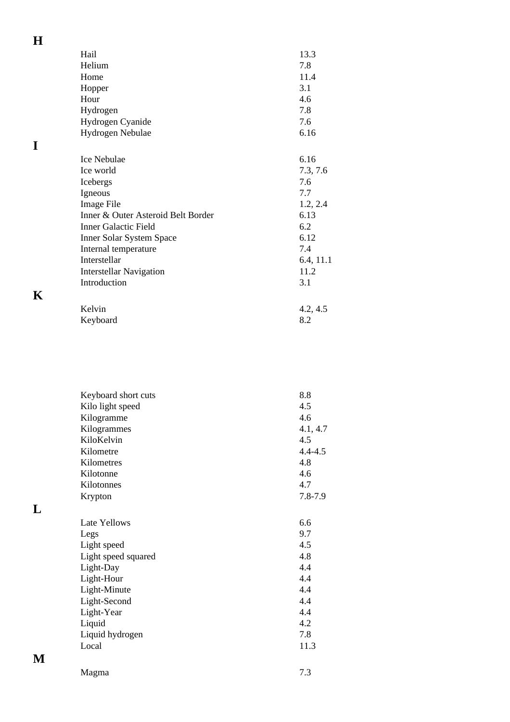| Hail                               | 13.3      |
|------------------------------------|-----------|
| Helium                             | 7.8       |
| Home                               | 11.4      |
| Hopper                             | 3.1       |
| Hour                               | 4.6       |
| Hydrogen                           | 7.8       |
| Hydrogen Cyanide                   | 7.6       |
| Hydrogen Nebulae                   | 6.16      |
|                                    |           |
| <b>Ice Nebulae</b>                 | 6.16      |
| Ice world                          | 7.3, 7.6  |
| Icebergs                           | 7.6       |
| Igneous                            | 7.7       |
| Image File                         | 1.2, 2.4  |
| Inner & Outer Asteroid Belt Border | 6.13      |
| <b>Inner Galactic Field</b>        | 6.2       |
| <b>Inner Solar System Space</b>    | 6.12      |
| Internal temperature               | 7.4       |
| Interstellar                       | 6.4, 11.1 |
| <b>Interstellar Navigation</b>     | 11.2      |
| Introduction                       | 3.1       |
| Kelvin                             | 4.2, 4.5  |
| Keyboard                           | 8.2       |
|                                    |           |

| v<br>۰.<br>٧<br>I |  |
|-------------------|--|
|                   |  |
|                   |  |

**H**

**I**

| Keyboard short cuts | 8.8         |
|---------------------|-------------|
| Kilo light speed    | 4.5         |
| Kilogramme          | 4.6         |
| Kilogrammes         | 4.1, 4.7    |
| KiloKelvin          | 4.5         |
| Kilometre           | $4.4 - 4.5$ |
| Kilometres          | 4.8         |
| Kilotonne           | 4.6         |
| Kilotonnes          | 4.7         |
| Krypton             | $7.8 - 7.9$ |
|                     |             |
| Late Yellows        | 6.6         |
| Legs                | 9.7         |
| Light speed         | 4.5         |
| Light speed squared | 4.8         |
| Light-Day           | 4.4         |
| Light-Hour          | 4.4         |
| Light-Minute        | 4.4         |
| Light-Second        | 4.4         |
| Light-Year          | 4.4         |
| Liquid              | 4.2         |
| Liquid hydrogen     | 7.8         |
| Local               | 11.3        |
|                     |             |

**L**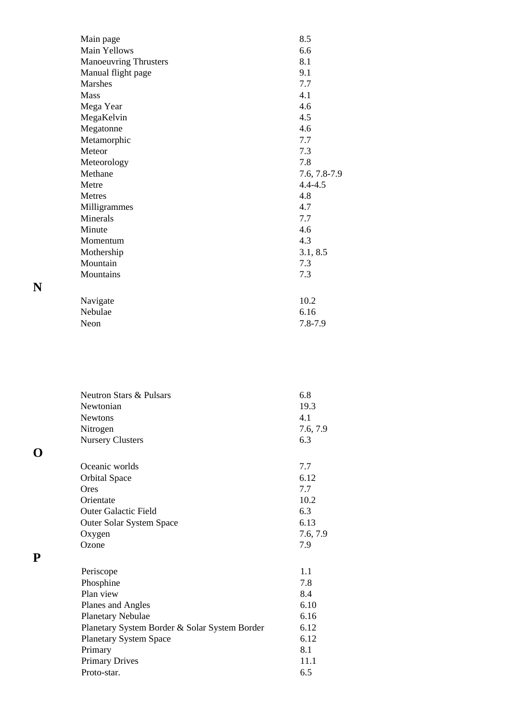| Main page                    | 8.5          |
|------------------------------|--------------|
| Main Yellows                 | 6.6          |
| <b>Manoeuvring Thrusters</b> | 8.1          |
| Manual flight page           | 9.1          |
| <b>Marshes</b>               | 7.7          |
| <b>Mass</b>                  | 4.1          |
| Mega Year                    | 4.6          |
| MegaKelvin                   | 4.5          |
| Megatonne                    | 4.6          |
| Metamorphic                  | 7.7          |
| Meteor                       | 7.3          |
| Meteorology                  | 7.8          |
| Methane                      | 7.6, 7.8-7.9 |
| Metre                        | $4.4 - 4.5$  |
| Metres                       | 4.8          |
| Milligrammes                 | 4.7          |
| Minerals                     | 7.7          |
| Minute                       | 4.6          |
| Momentum                     | 4.3          |
| Mothership                   | 3.1, 8.5     |
| Mountain                     | 7.3          |
| Mountains                    | 7.3          |
|                              |              |
| Navigate                     | 10.2         |
| Nebulae                      | 6.16         |
| Neon                         | 7.8-7.9      |

| <b>Neutron Stars &amp; Pulsars</b>            | 6.8      |
|-----------------------------------------------|----------|
| Newtonian                                     | 19.3     |
| <b>Newtons</b>                                | 4.1      |
| Nitrogen                                      | 7.6, 7.9 |
| <b>Nursery Clusters</b>                       | 6.3      |
| Oceanic worlds                                | 7.7      |
| <b>Orbital Space</b>                          | 6.12     |
| Ores                                          | 7.7      |
| Orientate                                     | 10.2     |
| <b>Outer Galactic Field</b>                   | 6.3      |
| Outer Solar System Space                      | 6.13     |
| Oxygen                                        | 7.6, 7.9 |
| Ozone                                         | 7.9      |
| Periscope                                     | 1.1      |
| Phosphine                                     | 7.8      |
| Plan view                                     | 8.4      |
| Planes and Angles                             | 6.10     |
| <b>Planetary Nebulae</b>                      | 6.16     |
| Planetary System Border & Solar System Border | 6.12     |
| <b>Planetary System Space</b>                 | 6.12     |
| Primary                                       | 8.1      |
| <b>Primary Drives</b>                         | 11.1     |
| Proto-star.                                   | 6.5      |

**N**

**O**

**P**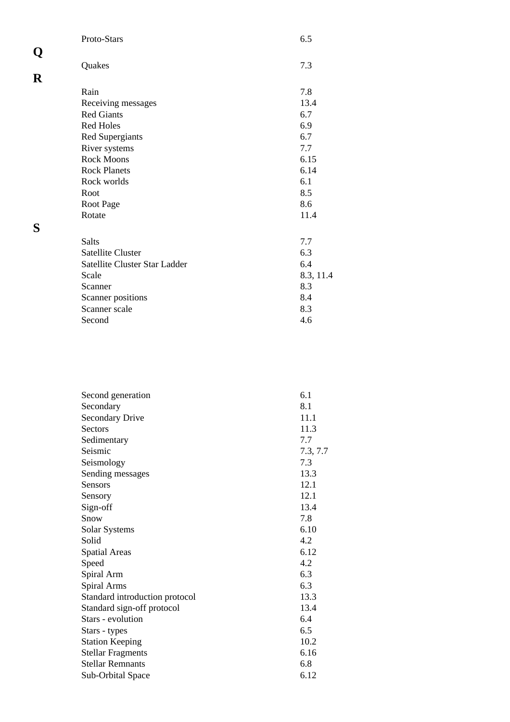| 7.3       |
|-----------|
|           |
| 7.8       |
| 13.4      |
| 6.7       |
| 6.9       |
| 6.7       |
| 7.7       |
| 6.15      |
| 6.14      |
| 6.1       |
| 8.5       |
| 8.6       |
| 11.4      |
|           |
| 7.7       |
| 6.3       |
| 6.4       |
| 8.3, 11.4 |
| 8.3       |
| 8.4       |
| 8.3       |
|           |
|           |

| Second generation              | 6.1      |
|--------------------------------|----------|
| Secondary                      | 8.1      |
| <b>Secondary Drive</b>         | 11.1     |
| <b>Sectors</b>                 | 11.3     |
| Sedimentary                    | 7.7      |
| Seismic                        | 7.3, 7.7 |
| Seismology                     | 7.3      |
| Sending messages               | 13.3     |
| <b>Sensors</b>                 | 12.1     |
| Sensory                        | 12.1     |
| Sign-off                       | 13.4     |
| Snow                           | 7.8      |
| Solar Systems                  | 6.10     |
| Solid                          | 4.2      |
| <b>Spatial Areas</b>           | 6.12     |
| Speed                          | 4.2      |
| Spiral Arm                     | 6.3      |
| Spiral Arms                    | 6.3      |
| Standard introduction protocol | 13.3     |
| Standard sign-off protocol     | 13.4     |
| Stars - evolution              | 6.4      |
| Stars - types                  | 6.5      |
| <b>Station Keeping</b>         | 10.2     |
| <b>Stellar Fragments</b>       | 6.16     |
| <b>Stellar Remnants</b>        | 6.8      |
| Sub-Orbital Space              | 6.12     |